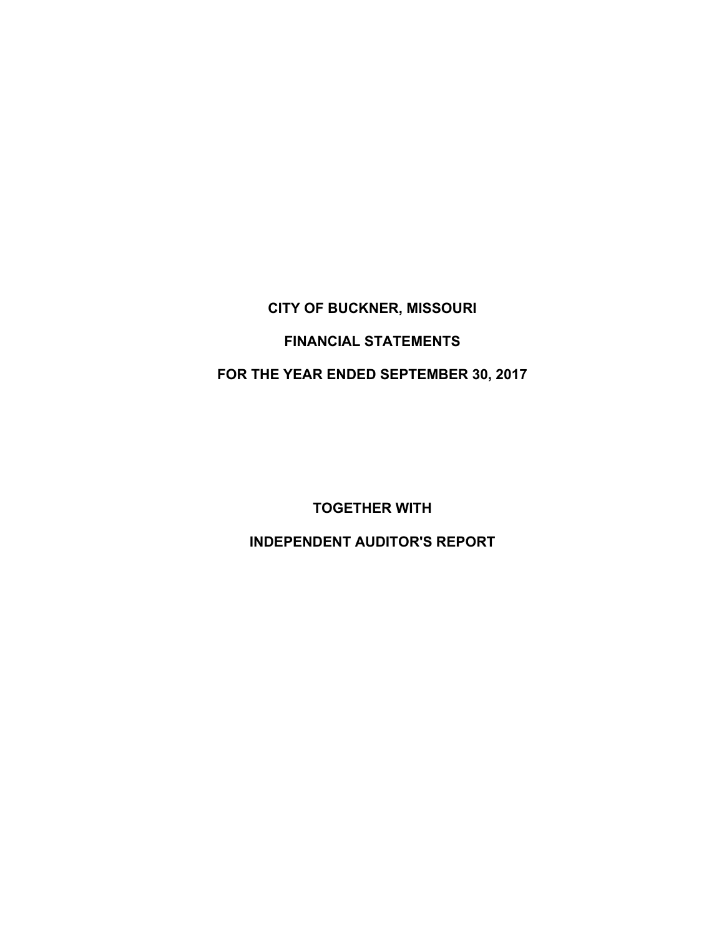# **CITY OF BUCKNER, MISSOURI FINANCIAL STATEMENTS FOR THE YEAR ENDED SEPTEMBER 30, 2017**

 **TOGETHER WITH** 

 **INDEPENDENT AUDITOR'S REPORT**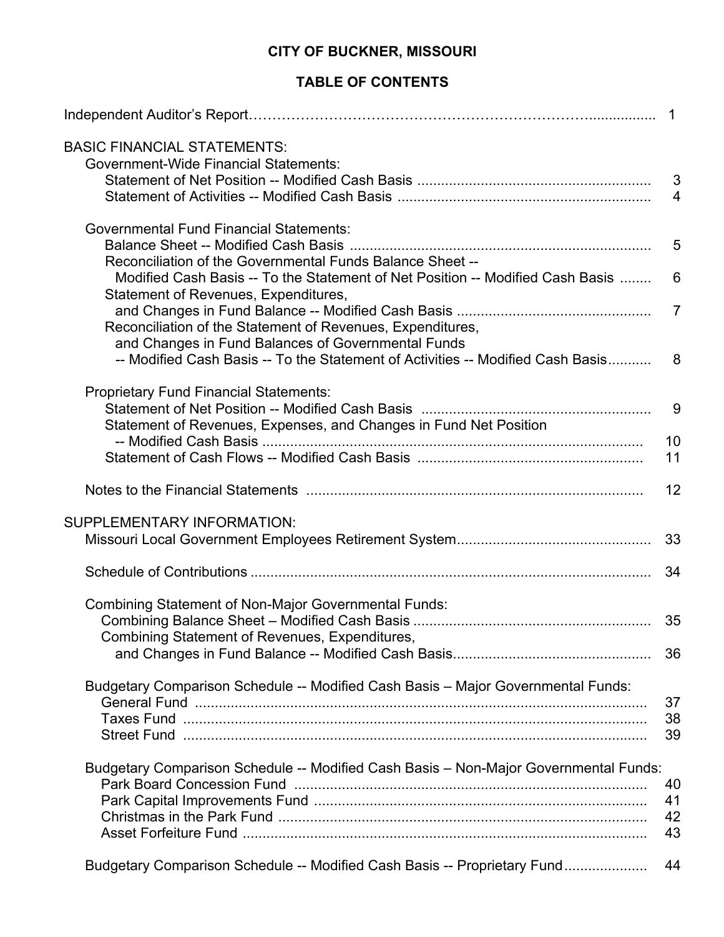## **TABLE OF CONTENTS**

| <b>BASIC FINANCIAL STATEMENTS:</b><br><b>Government-Wide Financial Statements:</b>                                     |                |
|------------------------------------------------------------------------------------------------------------------------|----------------|
|                                                                                                                        |                |
|                                                                                                                        |                |
|                                                                                                                        |                |
| <b>Governmental Fund Financial Statements:</b>                                                                         |                |
|                                                                                                                        |                |
| Reconciliation of the Governmental Funds Balance Sheet --                                                              |                |
| Modified Cash Basis -- To the Statement of Net Position -- Modified Cash Basis<br>Statement of Revenues, Expenditures, | 6              |
|                                                                                                                        | $\overline{7}$ |
| Reconciliation of the Statement of Revenues, Expenditures,                                                             |                |
| and Changes in Fund Balances of Governmental Funds                                                                     |                |
| -- Modified Cash Basis -- To the Statement of Activities -- Modified Cash Basis                                        | 8              |
|                                                                                                                        |                |
| <b>Proprietary Fund Financial Statements:</b>                                                                          |                |
|                                                                                                                        | 9              |
| Statement of Revenues, Expenses, and Changes in Fund Net Position                                                      |                |
|                                                                                                                        | 10<br>11       |
|                                                                                                                        |                |
|                                                                                                                        | 12             |
| SUPPLEMENTARY INFORMATION:                                                                                             |                |
|                                                                                                                        | 33             |
|                                                                                                                        |                |
|                                                                                                                        | 34             |
| <b>Combining Statement of Non-Major Governmental Funds:</b>                                                            |                |
|                                                                                                                        | 35             |
| Combining Statement of Revenues, Expenditures,                                                                         |                |
|                                                                                                                        | 36             |
| Budgetary Comparison Schedule -- Modified Cash Basis - Major Governmental Funds:                                       |                |
|                                                                                                                        | 37<br>38       |
|                                                                                                                        | 39             |
|                                                                                                                        |                |
| Budgetary Comparison Schedule -- Modified Cash Basis - Non-Major Governmental Funds:                                   |                |
|                                                                                                                        | 40             |
|                                                                                                                        | 41<br>42       |
|                                                                                                                        | 43             |
|                                                                                                                        |                |
| Budgetary Comparison Schedule -- Modified Cash Basis -- Proprietary Fund                                               | 44             |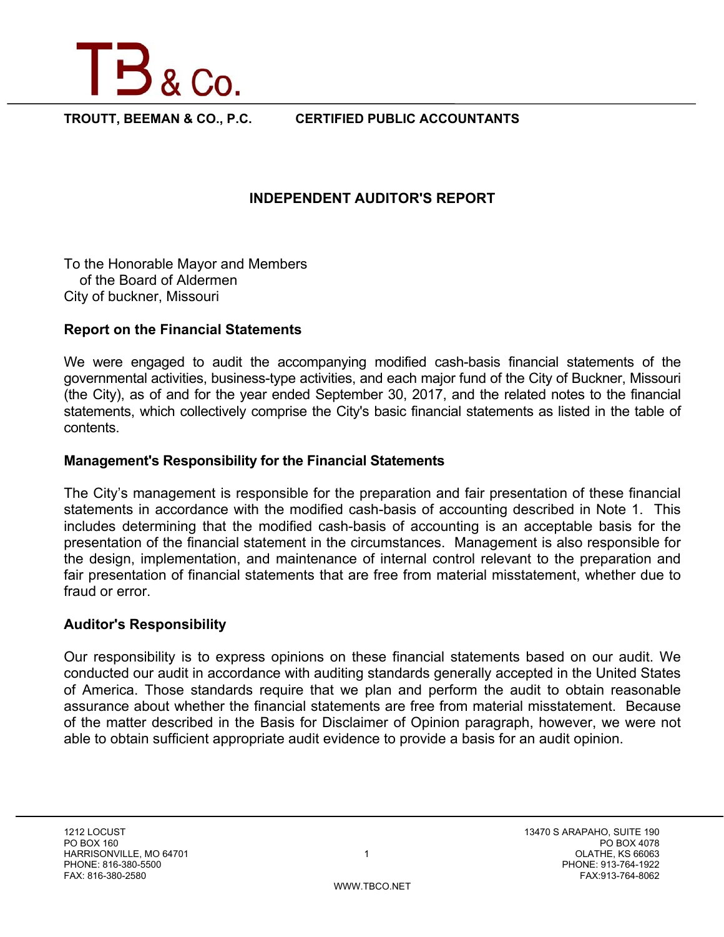

**TROUTT, BEEMAN & CO., P.C. CERTIFIED PUBLIC ACCOUNTANTS** 

## **INDEPENDENT AUDITOR'S REPORT**

To the Honorable Mayor and Members of the Board of Aldermen City of buckner, Missouri

## **Report on the Financial Statements**

We were engaged to audit the accompanying modified cash-basis financial statements of the governmental activities, business-type activities, and each major fund of the City of Buckner, Missouri (the City), as of and for the year ended September 30, 2017, and the related notes to the financial statements, which collectively comprise the City's basic financial statements as listed in the table of contents.

### **Management's Responsibility for the Financial Statements**

The City's management is responsible for the preparation and fair presentation of these financial statements in accordance with the modified cash-basis of accounting described in Note 1. This includes determining that the modified cash-basis of accounting is an acceptable basis for the presentation of the financial statement in the circumstances. Management is also responsible for the design, implementation, and maintenance of internal control relevant to the preparation and fair presentation of financial statements that are free from material misstatement, whether due to fraud or error.

### **Auditor's Responsibility**

Our responsibility is to express opinions on these financial statements based on our audit. We conducted our audit in accordance with auditing standards generally accepted in the United States of America. Those standards require that we plan and perform the audit to obtain reasonable assurance about whether the financial statements are free from material misstatement. Because of the matter described in the Basis for Disclaimer of Opinion paragraph, however, we were not able to obtain sufficient appropriate audit evidence to provide a basis for an audit opinion.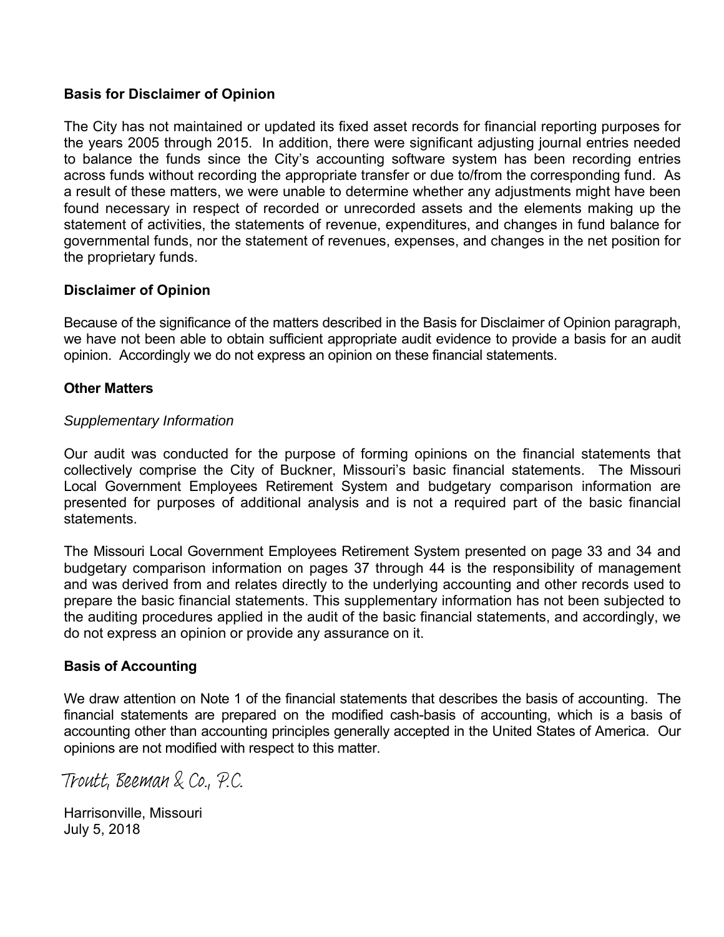## **Basis for Disclaimer of Opinion**

The City has not maintained or updated its fixed asset records for financial reporting purposes for the years 2005 through 2015. In addition, there were significant adjusting journal entries needed to balance the funds since the City's accounting software system has been recording entries across funds without recording the appropriate transfer or due to/from the corresponding fund. As a result of these matters, we were unable to determine whether any adjustments might have been found necessary in respect of recorded or unrecorded assets and the elements making up the statement of activities, the statements of revenue, expenditures, and changes in fund balance for governmental funds, nor the statement of revenues, expenses, and changes in the net position for the proprietary funds.

## **Disclaimer of Opinion**

Because of the significance of the matters described in the Basis for Disclaimer of Opinion paragraph, we have not been able to obtain sufficient appropriate audit evidence to provide a basis for an audit opinion. Accordingly we do not express an opinion on these financial statements.

### **Other Matters**

## *Supplementary Information*

Our audit was conducted for the purpose of forming opinions on the financial statements that collectively comprise the City of Buckner, Missouri's basic financial statements. The Missouri Local Government Employees Retirement System and budgetary comparison information are presented for purposes of additional analysis and is not a required part of the basic financial statements.

The Missouri Local Government Employees Retirement System presented on page 33 and 34 and budgetary comparison information on pages 37 through 44 is the responsibility of management and was derived from and relates directly to the underlying accounting and other records used to prepare the basic financial statements. This supplementary information has not been subjected to the auditing procedures applied in the audit of the basic financial statements, and accordingly, we do not express an opinion or provide any assurance on it.

### **Basis of Accounting**

We draw attention on Note 1 of the financial statements that describes the basis of accounting. The financial statements are prepared on the modified cash-basis of accounting, which is a basis of accounting other than accounting principles generally accepted in the United States of America. Our opinions are not modified with respect to this matter.

Troutt, Beeman & Co., P.C.

Harrisonville, Missouri July 5, 2018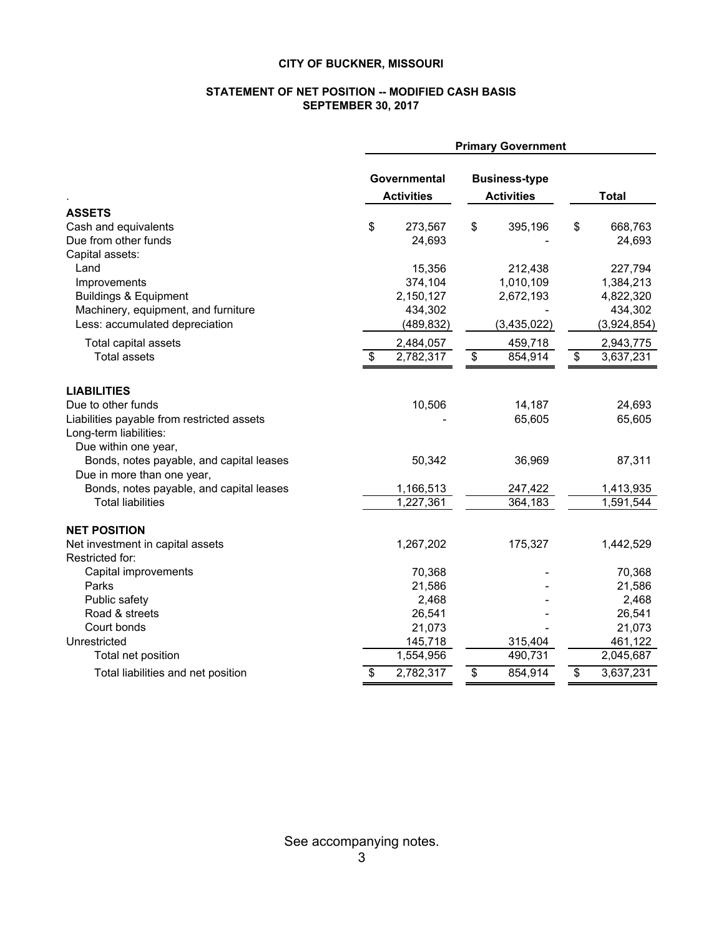#### **STATEMENT OF NET POSITION -- MODIFIED CASH BASIS SEPTEMBER 30, 2017**

|                                            | <b>Primary Government</b> |                   |                 |                      |                 |              |
|--------------------------------------------|---------------------------|-------------------|-----------------|----------------------|-----------------|--------------|
|                                            | Governmental              |                   |                 | <b>Business-type</b> |                 |              |
|                                            |                           | <b>Activities</b> |                 | <b>Activities</b>    |                 | <b>Total</b> |
| <b>ASSETS</b>                              |                           |                   |                 |                      |                 |              |
| Cash and equivalents                       | \$                        | 273,567           | \$              | 395,196              | \$              | 668,763      |
| Due from other funds                       |                           | 24,693            |                 |                      |                 | 24,693       |
| Capital assets:                            |                           |                   |                 |                      |                 |              |
| Land                                       |                           | 15,356            |                 | 212,438              |                 | 227,794      |
| Improvements                               |                           | 374,104           |                 | 1,010,109            |                 | 1,384,213    |
| <b>Buildings &amp; Equipment</b>           |                           | 2,150,127         |                 | 2,672,193            |                 | 4,822,320    |
| Machinery, equipment, and furniture        |                           | 434,302           |                 |                      |                 | 434,302      |
| Less: accumulated depreciation             |                           | (489, 832)        |                 | (3,435,022)          |                 | (3,924,854)  |
| Total capital assets                       |                           | 2,484,057         |                 | 459,718              |                 | 2,943,775    |
| <b>Total assets</b>                        | \$                        | 2,782,317         | $\overline{\$}$ | 854,914              | $\overline{\$}$ | 3,637,231    |
| <b>LIABILITIES</b>                         |                           |                   |                 |                      |                 |              |
| Due to other funds                         |                           | 10,506            |                 | 14,187               |                 | 24,693       |
| Liabilities payable from restricted assets |                           |                   |                 | 65,605               |                 | 65,605       |
| Long-term liabilities:                     |                           |                   |                 |                      |                 |              |
| Due within one year,                       |                           |                   |                 |                      |                 |              |
| Bonds, notes payable, and capital leases   |                           | 50,342            |                 | 36,969               |                 | 87,311       |
| Due in more than one year,                 |                           |                   |                 |                      |                 |              |
| Bonds, notes payable, and capital leases   |                           | 1,166,513         |                 | 247,422              |                 | 1,413,935    |
| <b>Total liabilities</b>                   |                           | 1,227,361         |                 | 364,183              |                 | 1,591,544    |
| <b>NET POSITION</b>                        |                           |                   |                 |                      |                 |              |
| Net investment in capital assets           |                           | 1,267,202         |                 | 175,327              |                 | 1,442,529    |
| Restricted for:                            |                           |                   |                 |                      |                 |              |
| Capital improvements                       |                           | 70,368            |                 |                      |                 | 70,368       |
| Parks                                      |                           | 21,586            |                 |                      |                 | 21,586       |
| Public safety                              |                           | 2,468             |                 |                      |                 | 2,468        |
| Road & streets                             |                           | 26,541            |                 |                      |                 | 26,541       |
| Court bonds                                |                           | 21,073            |                 |                      |                 | 21,073       |
| Unrestricted                               |                           | 145,718           |                 | 315,404              |                 | 461,122      |
| Total net position                         |                           | 1,554,956         |                 | 490,731              |                 | 2,045,687    |
| Total liabilities and net position         | \$                        | 2,782,317         | \$              | 854,914              | \$              | 3,637,231    |

See accompanying notes. 3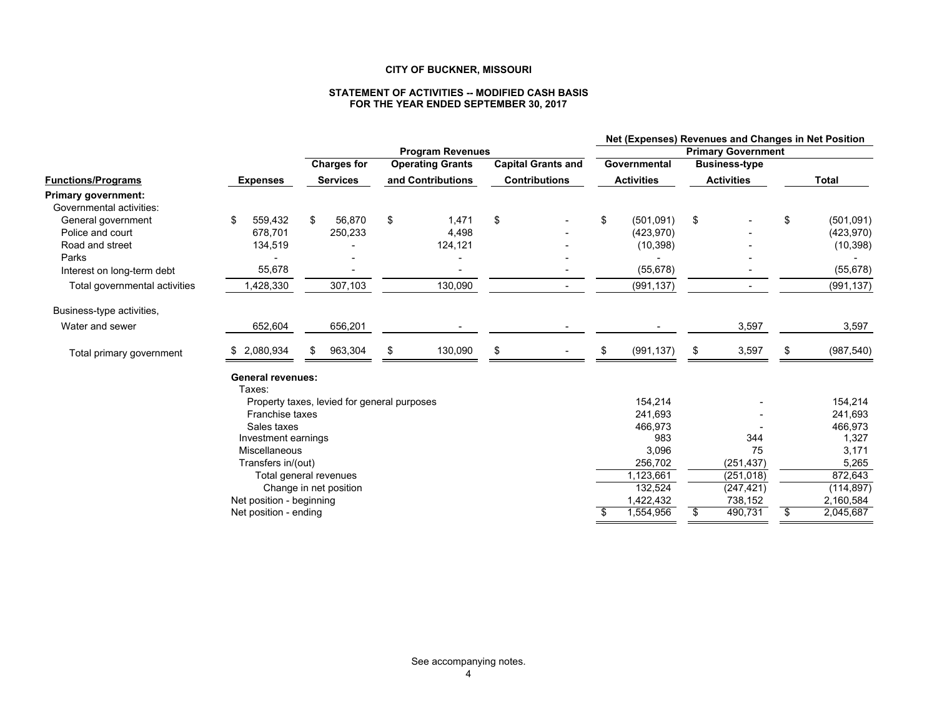#### **STATEMENT OF ACTIVITIES -- MODIFIED CASH BASIS FOR THE YEAR ENDED SEPTEMBER 30, 2017**

|                               |                                    |                                             |    |                         |    |                           |                           |              |                      | Net (Expenses) Revenues and Changes in Net Position |                   |  |              |
|-------------------------------|------------------------------------|---------------------------------------------|----|-------------------------|----|---------------------------|---------------------------|--------------|----------------------|-----------------------------------------------------|-------------------|--|--------------|
|                               |                                    | <b>Program Revenues</b>                     |    |                         |    |                           | <b>Primary Government</b> |              |                      |                                                     |                   |  |              |
|                               |                                    | <b>Charges for</b>                          |    | <b>Operating Grants</b> |    | <b>Capital Grants and</b> |                           | Governmental | <b>Business-type</b> |                                                     |                   |  |              |
| <b>Functions/Programs</b>     | <b>Expenses</b>                    | <b>Services</b>                             |    | and Contributions       |    | <b>Contributions</b>      |                           |              |                      | <b>Activities</b>                                   | <b>Activities</b> |  | <b>Total</b> |
| <b>Primary government:</b>    |                                    |                                             |    |                         |    |                           |                           |              |                      |                                                     |                   |  |              |
| Governmental activities:      |                                    |                                             |    |                         |    |                           |                           |              |                      |                                                     |                   |  |              |
| General government            | 559,432<br>\$                      | 56,870<br>\$                                | \$ | 1,471                   | \$ |                           | \$                        | (501,091)    | \$                   | \$                                                  | (501, 091)        |  |              |
| Police and court              | 678,701                            | 250,233                                     |    | 4,498                   |    |                           |                           | (423, 970)   |                      |                                                     | (423, 970)        |  |              |
| Road and street               | 134,519                            |                                             |    | 124,121                 |    |                           |                           | (10, 398)    |                      |                                                     | (10, 398)         |  |              |
| Parks                         |                                    |                                             |    |                         |    |                           |                           |              |                      |                                                     |                   |  |              |
| Interest on long-term debt    | 55,678                             |                                             |    |                         |    |                           |                           | (55, 678)    |                      |                                                     | (55, 678)         |  |              |
| Total governmental activities | 1,428,330                          | 307,103                                     |    | 130,090                 |    | $\overline{\phantom{a}}$  |                           | (991, 137)   | $\blacksquare$       |                                                     | (991, 137)        |  |              |
| Business-type activities,     |                                    |                                             |    |                         |    |                           |                           |              |                      |                                                     |                   |  |              |
| Water and sewer               | 652,604                            | 656,201                                     |    |                         |    |                           |                           |              | 3,597                |                                                     | 3,597             |  |              |
| Total primary government      | 2,080,934                          | 963,304<br>S                                | \$ | 130,090                 | \$ |                           | \$                        | (991, 137)   | \$<br>3,597          | S                                                   | (987, 540)        |  |              |
|                               | <b>General revenues:</b><br>Taxes: |                                             |    |                         |    |                           |                           |              |                      |                                                     |                   |  |              |
|                               |                                    | Property taxes, levied for general purposes |    |                         |    |                           |                           | 154,214      |                      |                                                     | 154,214           |  |              |
|                               | Franchise taxes                    |                                             |    |                         |    |                           |                           | 241,693      |                      |                                                     | 241,693           |  |              |
|                               | Sales taxes                        |                                             |    |                         |    |                           |                           | 466,973      |                      |                                                     | 466,973           |  |              |
|                               | Investment earnings                |                                             |    |                         |    |                           |                           | 983          | 344                  |                                                     | 1,327             |  |              |
|                               | Miscellaneous                      |                                             |    |                         |    |                           |                           | 3,096        | 75                   |                                                     | 3,171             |  |              |
|                               | Transfers in/(out)                 |                                             |    |                         |    |                           |                           | 256,702      | (251, 437)           |                                                     | 5,265             |  |              |
|                               |                                    | Total general revenues                      |    |                         |    |                           |                           | 1,123,661    | (251, 018)           |                                                     | 872,643           |  |              |
|                               |                                    | Change in net position                      |    |                         |    |                           |                           | 132,524      | (247, 421)           |                                                     | (114, 897)        |  |              |
|                               | Net position - beginning           |                                             |    |                         |    |                           |                           | 1,422,432    | 738,152              |                                                     | 2,160,584         |  |              |
|                               | Net position - ending              |                                             |    |                         |    |                           | S                         | 1,554,956    | \$<br>490,731        | \$                                                  | 2,045,687         |  |              |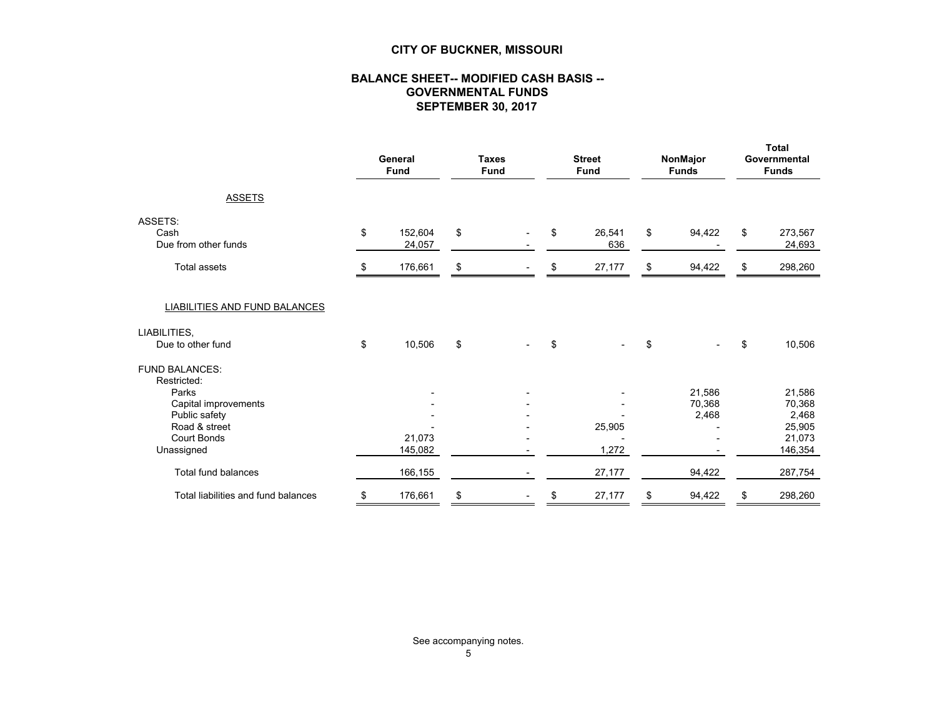#### **BALANCE SHEET-- MODIFIED CASH BASIS -- GOVERNMENTAL FUNDS SEPTEMBER 30, 2017**

|                                                | General<br><b>Fund</b> |                   | <b>Taxes</b><br><b>Fund</b> |                          | <b>Street</b><br><b>Fund</b> |                 |    |                           | NonMajor<br><b>Funds</b>    | <b>Total</b><br>Governmental<br><b>Funds</b> |
|------------------------------------------------|------------------------|-------------------|-----------------------------|--------------------------|------------------------------|-----------------|----|---------------------------|-----------------------------|----------------------------------------------|
| <b>ASSETS</b>                                  |                        |                   |                             |                          |                              |                 |    |                           |                             |                                              |
| ASSETS:<br>Cash<br>Due from other funds        | \$                     | 152,604<br>24,057 | \$                          | $\overline{\phantom{a}}$ | \$                           | 26,541<br>636   | \$ | 94,422                    | \$<br>273,567<br>24,693     |                                              |
| <b>Total assets</b>                            | S                      | 176,661           | \$                          |                          | \$                           | 27,177          | \$ | 94,422                    | \$<br>298,260               |                                              |
| LIABILITIES AND FUND BALANCES                  |                        |                   |                             |                          |                              |                 |    |                           |                             |                                              |
| LIABILITIES.<br>Due to other fund              | \$                     | 10,506            | \$                          |                          | \$                           |                 | \$ |                           | \$<br>10,506                |                                              |
| <b>FUND BALANCES:</b><br>Restricted:           |                        |                   |                             |                          |                              |                 |    |                           |                             |                                              |
| Parks<br>Capital improvements<br>Public safety |                        |                   |                             |                          |                              |                 |    | 21,586<br>70,368<br>2,468 | 21,586<br>70,368<br>2,468   |                                              |
| Road & street<br>Court Bonds<br>Unassigned     |                        | 21,073<br>145,082 |                             |                          |                              | 25,905<br>1,272 |    |                           | 25,905<br>21,073<br>146,354 |                                              |
| Total fund balances                            |                        | 166,155           |                             |                          |                              | 27,177          |    | 94,422                    | 287,754                     |                                              |
| Total liabilities and fund balances            | \$                     | 176,661           | \$                          |                          | \$                           | 27,177          | \$ | 94,422                    | \$<br>298,260               |                                              |

See accompanying notes.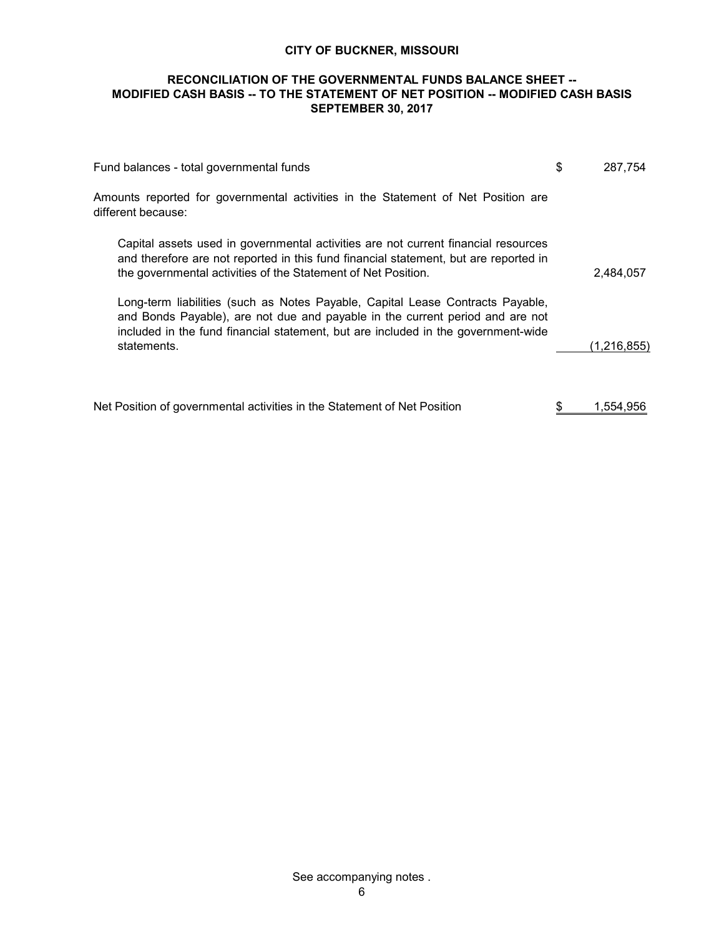#### **RECONCILIATION OF THE GOVERNMENTAL FUNDS BALANCE SHEET -- MODIFIED CASH BASIS -- TO THE STATEMENT OF NET POSITION -- MODIFIED CASH BASIS SEPTEMBER 30, 2017**

| Fund balances - total governmental funds                                                                                                                                                                                                                            | \$<br>287.754 |
|---------------------------------------------------------------------------------------------------------------------------------------------------------------------------------------------------------------------------------------------------------------------|---------------|
| Amounts reported for governmental activities in the Statement of Net Position are<br>different because:                                                                                                                                                             |               |
| Capital assets used in governmental activities are not current financial resources<br>and therefore are not reported in this fund financial statement, but are reported in<br>the governmental activities of the Statement of Net Position.                         | 2,484,057     |
| Long-term liabilities (such as Notes Payable, Capital Lease Contracts Payable,<br>and Bonds Payable), are not due and payable in the current period and are not<br>included in the fund financial statement, but are included in the government-wide<br>statements. | (1,216,855)   |
| Net Position of governmental activities in the Statement of Net Position                                                                                                                                                                                            | 1.554.956     |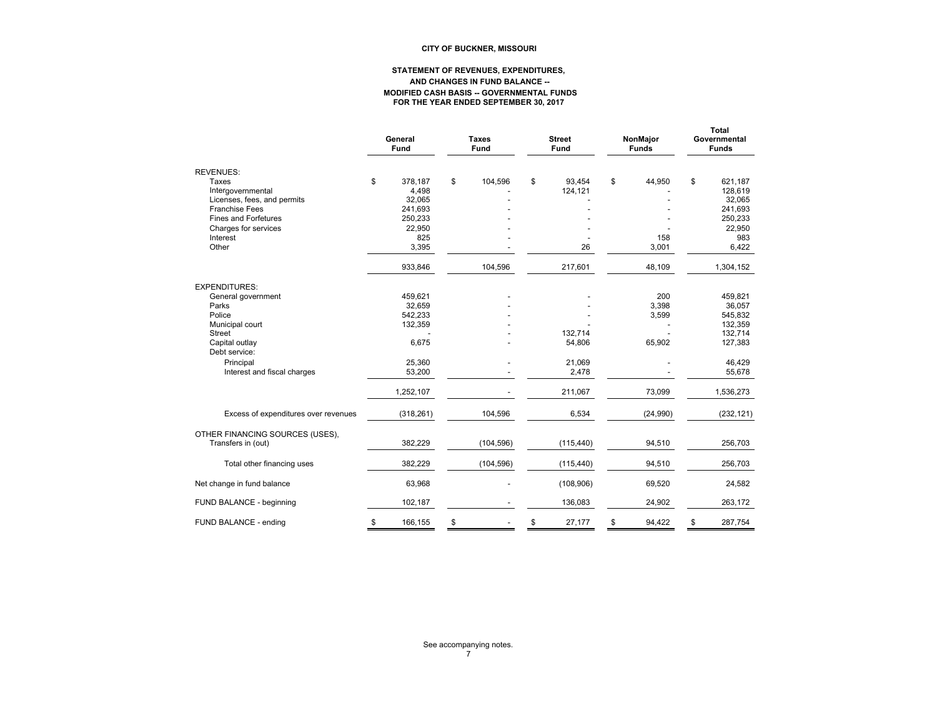#### **STATEMENT OF REVENUES, EXPENDITURES, AND CHANGES IN FUND BALANCE -- MODIFIED CASH BASIS -- GOVERNMENTAL FUNDS FOR THE YEAR ENDED SEPTEMBER 30, 2017**

|                                                           | General<br><b>Fund</b>           |    | Taxes<br><b>Fund</b> |    | <b>Street</b><br><b>Fund</b> |    | NonMajor<br><b>Funds</b> | <b>Total</b><br>Governmental<br><b>Funds</b> |
|-----------------------------------------------------------|----------------------------------|----|----------------------|----|------------------------------|----|--------------------------|----------------------------------------------|
| <b>REVENUES:</b>                                          |                                  |    |                      |    |                              |    |                          |                                              |
| Taxes<br>Intergovernmental<br>Licenses, fees, and permits | \$<br>378,187<br>4,498<br>32,065 | \$ | 104,596              | \$ | 93,454<br>124,121            | \$ | 44,950                   | \$<br>621,187<br>128,619<br>32,065           |
| <b>Franchise Fees</b><br><b>Fines and Forfetures</b>      | 241,693<br>250,233               |    |                      |    |                              |    |                          | 241,693<br>250,233                           |
| Charges for services<br>Interest                          | 22,950<br>825                    |    |                      |    |                              |    | 158                      | 22,950<br>983                                |
| Other                                                     | 3,395                            |    |                      |    | 26                           |    | 3,001                    | 6,422                                        |
|                                                           | 933,846                          |    | 104,596              |    | 217,601                      |    | 48,109                   | 1,304,152                                    |
| <b>EXPENDITURES:</b>                                      |                                  |    |                      |    |                              |    |                          |                                              |
| General government                                        | 459,621                          |    |                      |    |                              |    | 200                      | 459,821                                      |
| Parks<br>Police                                           | 32,659<br>542,233                |    |                      |    |                              |    | 3,398<br>3,599           | 36,057<br>545,832                            |
| Municipal court                                           | 132,359                          |    |                      |    |                              |    |                          | 132,359                                      |
| <b>Street</b>                                             |                                  |    |                      |    | 132,714                      |    |                          | 132,714                                      |
| Capital outlay<br>Debt service:                           | 6,675                            |    |                      |    | 54,806                       |    | 65,902                   | 127,383                                      |
| Principal                                                 | 25,360                           |    |                      |    | 21,069                       |    |                          | 46,429                                       |
| Interest and fiscal charges                               | 53,200                           |    |                      |    | 2,478                        |    |                          | 55,678                                       |
|                                                           | 1,252,107                        |    |                      |    | 211,067                      |    | 73,099                   | 1,536,273                                    |
| Excess of expenditures over revenues                      | (318, 261)                       |    | 104,596              |    | 6,534                        |    | (24,990)                 | (232, 121)                                   |
| OTHER FINANCING SOURCES (USES),<br>Transfers in (out)     | 382,229                          |    | (104, 596)           |    | (115, 440)                   |    | 94,510                   | 256,703                                      |
|                                                           |                                  |    |                      |    |                              |    |                          |                                              |
| Total other financing uses                                | 382,229                          |    | (104, 596)           |    | (115, 440)                   |    | 94,510                   | 256,703                                      |
| Net change in fund balance                                | 63,968                           |    |                      |    | (108, 906)                   |    | 69,520                   | 24,582                                       |
| FUND BALANCE - beginning                                  | 102,187                          |    |                      |    | 136,083                      |    | 24,902                   | 263,172                                      |
| FUND BALANCE - ending                                     | \$<br>166,155                    | \$ |                      | \$ | 27,177                       | \$ | 94,422                   | \$<br>287,754                                |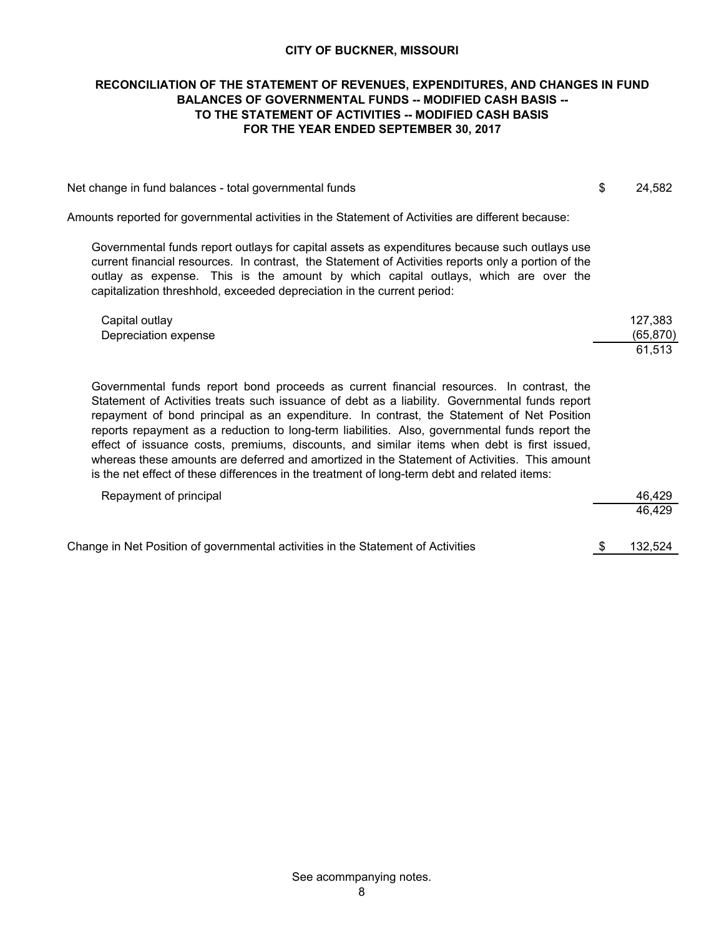#### **FOR THE YEAR ENDED SEPTEMBER 30, 2017 RECONCILIATION OF THE STATEMENT OF REVENUES, EXPENDITURES, AND CHANGES IN FUND BALANCES OF GOVERNMENTAL FUNDS -- MODIFIED CASH BASIS -- TO THE STATEMENT OF ACTIVITIES -- MODIFIED CASH BASIS**

| Net change in fund balances - total governmental funds |  | 24,582 |
|--------------------------------------------------------|--|--------|
|--------------------------------------------------------|--|--------|

Amounts reported for governmental activities in the Statement of Activities are different because:

Governmental funds report outlays for capital assets as expenditures because such outlays use current financial resources. In contrast, the Statement of Activities reports only a portion of the outlay as expense. This is the amount by which capital outlays, which are over the capitalization threshhold, exceeded depreciation in the current period:

| Capital outlay       | 127,383   |
|----------------------|-----------|
| Depreciation expense | (65, 870) |
|                      | 61.513    |

Governmental funds report bond proceeds as current financial resources. In contrast, the Statement of Activities treats such issuance of debt as a liability. Governmental funds report repayment of bond principal as an expenditure. In contrast, the Statement of Net Position reports repayment as a reduction to long-term liabilities. Also, governmental funds report the effect of issuance costs, premiums, discounts, and similar items when debt is first issued, whereas these amounts are deferred and amortized in the Statement of Activities. This amount is the net effect of these differences in the treatment of long-term debt and related items:

| Repayment of principal                                                           | 46.429  |
|----------------------------------------------------------------------------------|---------|
|                                                                                  | 46.429  |
|                                                                                  |         |
| Change in Net Position of governmental activities in the Statement of Activities | 132.524 |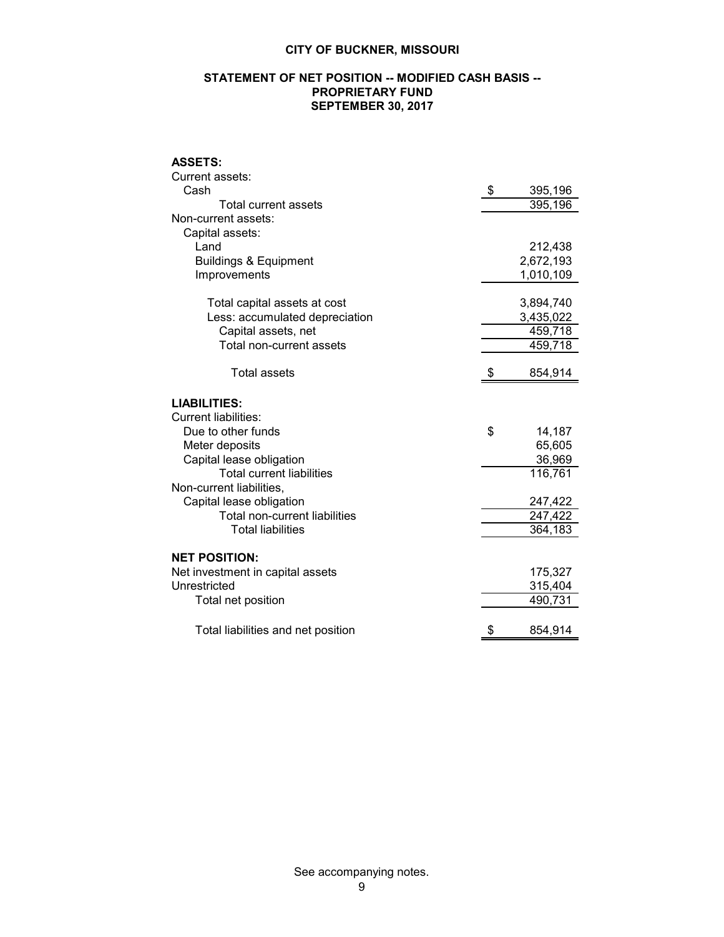#### **STATEMENT OF NET POSITION -- MODIFIED CASH BASIS -- PROPRIETARY FUND SEPTEMBER 30, 2017**

#### **ASSETS:**

| Current assets:                      |               |
|--------------------------------------|---------------|
| Cash                                 | \$<br>395,196 |
| <b>Total current assets</b>          | 395,196       |
| Non-current assets:                  |               |
| Capital assets:                      |               |
| Land                                 | 212,438       |
| <b>Buildings &amp; Equipment</b>     | 2,672,193     |
| Improvements                         | 1,010,109     |
|                                      |               |
| Total capital assets at cost         | 3,894,740     |
| Less: accumulated depreciation       | 3,435,022     |
| Capital assets, net                  | 459,718       |
| Total non-current assets             | 459,718       |
|                                      |               |
| Total assets                         | \$<br>854,914 |
|                                      |               |
| <b>LIABILITIES:</b>                  |               |
| <b>Current liabilities:</b>          |               |
| Due to other funds                   | \$<br>14,187  |
| Meter deposits                       | 65,605        |
| Capital lease obligation             | 36,969        |
| <b>Total current liabilities</b>     | 116,761       |
| Non-current liabilities,             |               |
| Capital lease obligation             | 247,422       |
| <b>Total non-current liabilities</b> | 247,422       |
| <b>Total liabilities</b>             | 364,183       |
|                                      |               |
| <b>NET POSITION:</b>                 |               |
| Net investment in capital assets     | 175,327       |
| Unrestricted                         | 315,404       |
| Total net position                   | 490,731       |
| Total liabilities and net position   | \$<br>854,914 |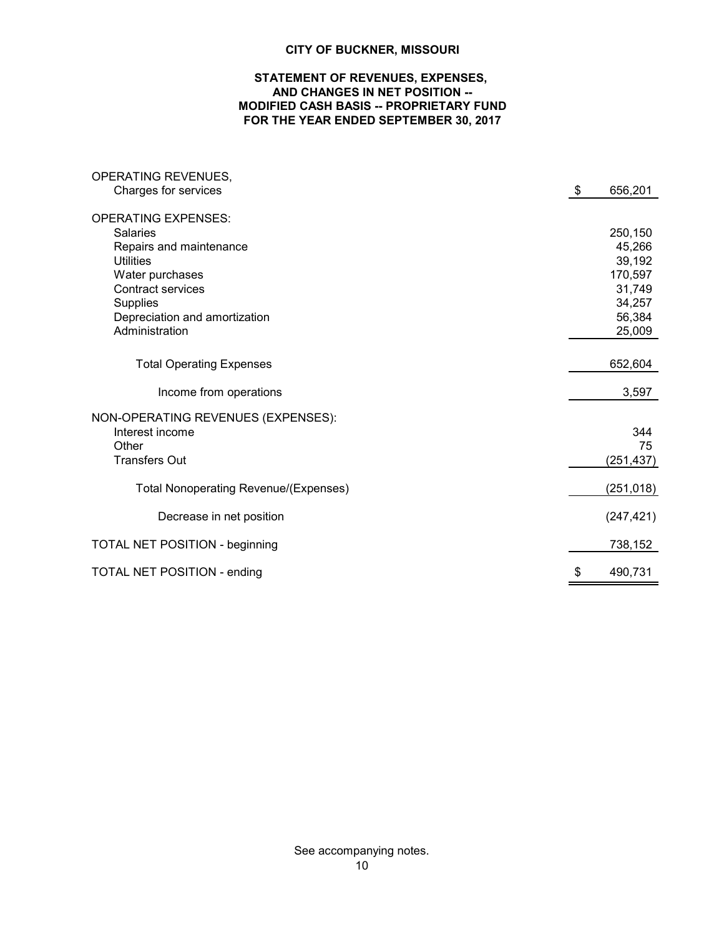#### **STATEMENT OF REVENUES, EXPENSES, AND CHANGES IN NET POSITION -- MODIFIED CASH BASIS -- PROPRIETARY FUND FOR THE YEAR ENDED SEPTEMBER 30, 2017**

| OPERATING REVENUES,                          |               |
|----------------------------------------------|---------------|
| Charges for services                         | \$<br>656,201 |
| <b>OPERATING EXPENSES:</b>                   |               |
| <b>Salaries</b>                              | 250,150       |
| Repairs and maintenance                      | 45,266        |
| Utilities                                    | 39,192        |
| Water purchases                              | 170,597       |
| <b>Contract services</b>                     | 31,749        |
| <b>Supplies</b>                              | 34,257        |
| Depreciation and amortization                | 56,384        |
| Administration                               | 25,009        |
|                                              |               |
| <b>Total Operating Expenses</b>              | 652,604       |
| Income from operations                       | 3,597         |
| NON-OPERATING REVENUES (EXPENSES):           |               |
| Interest income                              | 344           |
| Other                                        | 75            |
| <b>Transfers Out</b>                         | (251, 437)    |
|                                              |               |
| <b>Total Nonoperating Revenue/(Expenses)</b> | (251, 018)    |
| Decrease in net position                     | (247, 421)    |
| <b>TOTAL NET POSITION - beginning</b>        | 738,152       |
| <b>TOTAL NET POSITION - ending</b>           | \$<br>490,731 |

See accompanying notes.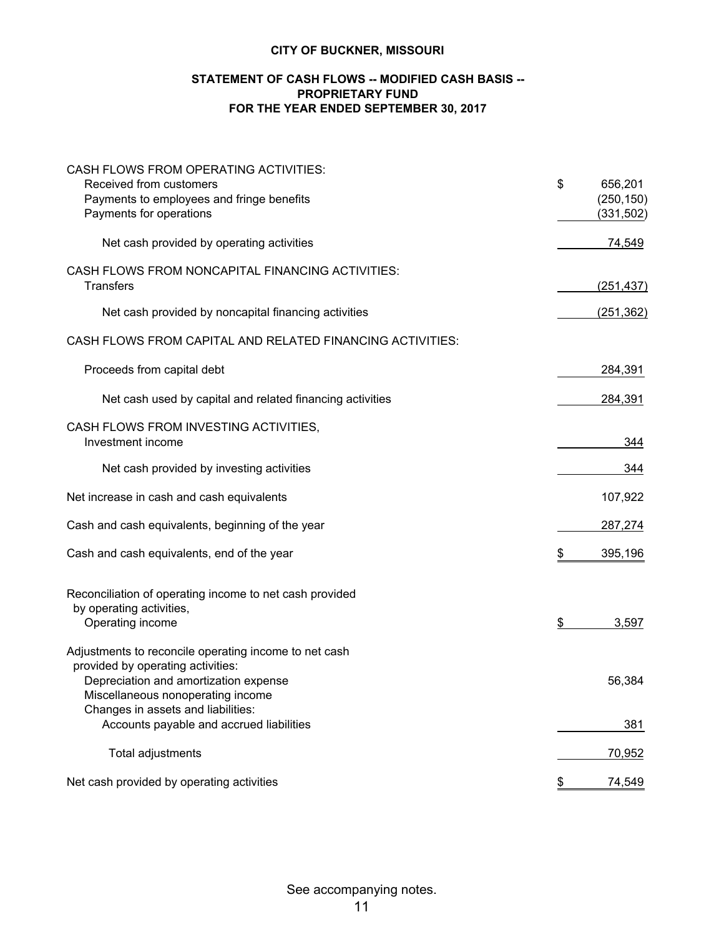#### **STATEMENT OF CASH FLOWS -- MODIFIED CASH BASIS -- FOR THE YEAR ENDED SEPTEMBER 30, 2017 PROPRIETARY FUND**

| CASH FLOWS FROM OPERATING ACTIVITIES:<br>Received from customers<br>Payments to employees and fringe benefits<br>Payments for operations                                 | \$<br>656,201<br>(250, 150)<br>(331, 502) |
|--------------------------------------------------------------------------------------------------------------------------------------------------------------------------|-------------------------------------------|
| Net cash provided by operating activities                                                                                                                                | 74,549                                    |
| CASH FLOWS FROM NONCAPITAL FINANCING ACTIVITIES:<br><b>Transfers</b>                                                                                                     | (251, 437)                                |
| Net cash provided by noncapital financing activities                                                                                                                     | (251, 362)                                |
| CASH FLOWS FROM CAPITAL AND RELATED FINANCING ACTIVITIES:                                                                                                                |                                           |
| Proceeds from capital debt                                                                                                                                               | 284,391                                   |
| Net cash used by capital and related financing activities                                                                                                                | 284,391                                   |
| CASH FLOWS FROM INVESTING ACTIVITIES,<br>Investment income                                                                                                               | 344                                       |
| Net cash provided by investing activities                                                                                                                                | 344                                       |
| Net increase in cash and cash equivalents                                                                                                                                | 107,922                                   |
| Cash and cash equivalents, beginning of the year                                                                                                                         | 287,274                                   |
| Cash and cash equivalents, end of the year                                                                                                                               | \$<br>395,196                             |
| Reconciliation of operating income to net cash provided<br>by operating activities,<br>Operating income                                                                  | \$<br>3,597                               |
| Adjustments to reconcile operating income to net cash<br>provided by operating activities:<br>Depreciation and amortization expense<br>Miscellaneous nonoperating income | 56,384                                    |
| Changes in assets and liabilities:<br>Accounts payable and accrued liabilities                                                                                           | 381                                       |
| Total adjustments                                                                                                                                                        | 70,952                                    |
| Net cash provided by operating activities                                                                                                                                | 74,549<br>\$                              |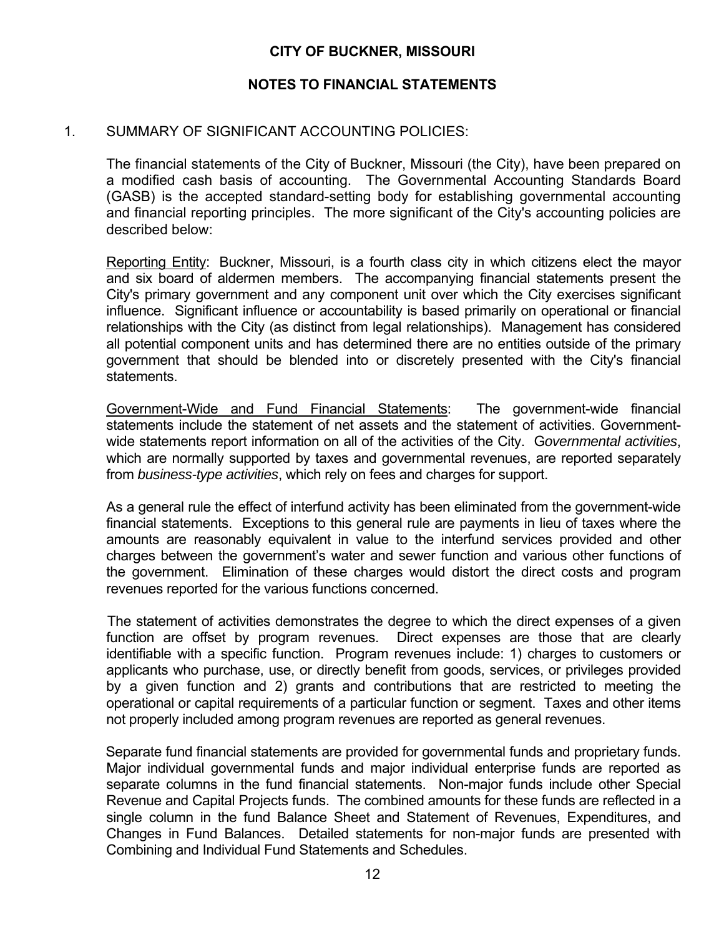#### **NOTES TO FINANCIAL STATEMENTS**

#### 1. SUMMARY OF SIGNIFICANT ACCOUNTING POLICIES:

 The financial statements of the City of Buckner, Missouri (the City), have been prepared on a modified cash basis of accounting. The Governmental Accounting Standards Board (GASB) is the accepted standard-setting body for establishing governmental accounting and financial reporting principles. The more significant of the City's accounting policies are described below:

Reporting Entity: Buckner, Missouri, is a fourth class city in which citizens elect the mayor and six board of aldermen members. The accompanying financial statements present the City's primary government and any component unit over which the City exercises significant influence. Significant influence or accountability is based primarily on operational or financial relationships with the City (as distinct from legal relationships). Management has considered all potential component units and has determined there are no entities outside of the primary government that should be blended into or discretely presented with the City's financial statements.

Government-Wide and Fund Financial Statements: The government-wide financial statements include the statement of net assets and the statement of activities. Governmentwide statements report information on all of the activities of the City. G*overnmental activities*, which are normally supported by taxes and governmental revenues, are reported separately from *business-type activities*, which rely on fees and charges for support.

As a general rule the effect of interfund activity has been eliminated from the government-wide financial statements. Exceptions to this general rule are payments in lieu of taxes where the amounts are reasonably equivalent in value to the interfund services provided and other charges between the government's water and sewer function and various other functions of the government. Elimination of these charges would distort the direct costs and program revenues reported for the various functions concerned.

 The statement of activities demonstrates the degree to which the direct expenses of a given function are offset by program revenues. Direct expenses are those that are clearly identifiable with a specific function. Program revenues include: 1) charges to customers or applicants who purchase, use, or directly benefit from goods, services, or privileges provided by a given function and 2) grants and contributions that are restricted to meeting the operational or capital requirements of a particular function or segment. Taxes and other items not properly included among program revenues are reported as general revenues.

 Separate fund financial statements are provided for governmental funds and proprietary funds. Major individual governmental funds and major individual enterprise funds are reported as separate columns in the fund financial statements. Non-major funds include other Special Revenue and Capital Projects funds. The combined amounts for these funds are reflected in a single column in the fund Balance Sheet and Statement of Revenues, Expenditures, and Changes in Fund Balances. Detailed statements for non-major funds are presented with Combining and Individual Fund Statements and Schedules.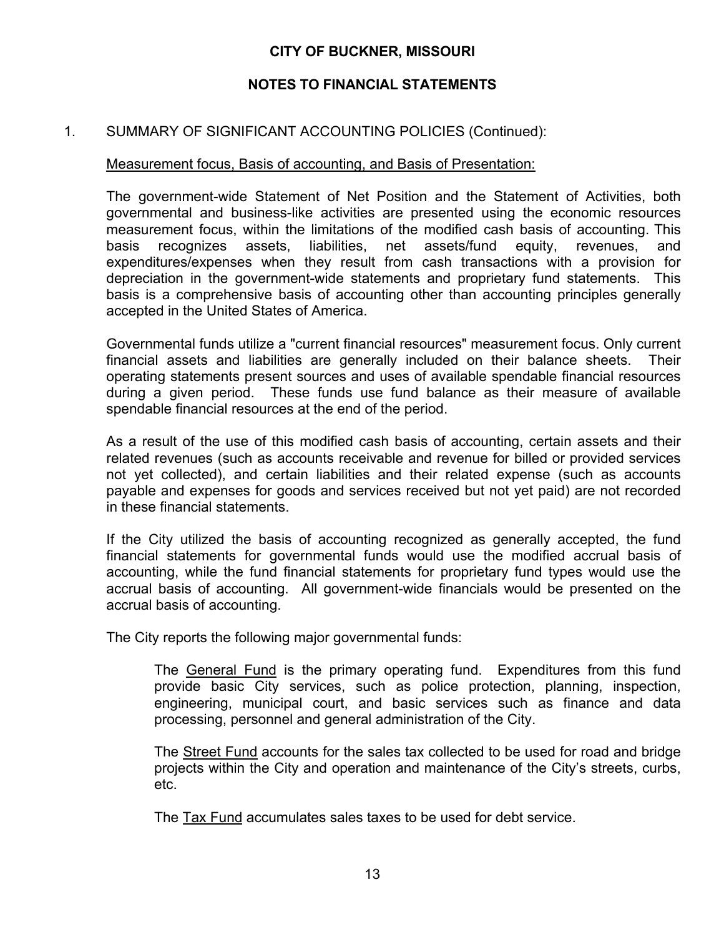## **NOTES TO FINANCIAL STATEMENTS**

#### 1. SUMMARY OF SIGNIFICANT ACCOUNTING POLICIES (Continued):

#### Measurement focus, Basis of accounting, and Basis of Presentation:

The government-wide Statement of Net Position and the Statement of Activities, both governmental and business-like activities are presented using the economic resources measurement focus, within the limitations of the modified cash basis of accounting. This basis recognizes assets, liabilities, net assets/fund equity, revenues, and expenditures/expenses when they result from cash transactions with a provision for depreciation in the government-wide statements and proprietary fund statements. This basis is a comprehensive basis of accounting other than accounting principles generally accepted in the United States of America.

Governmental funds utilize a "current financial resources" measurement focus. Only current financial assets and liabilities are generally included on their balance sheets. Their operating statements present sources and uses of available spendable financial resources during a given period. These funds use fund balance as their measure of available spendable financial resources at the end of the period.

As a result of the use of this modified cash basis of accounting, certain assets and their related revenues (such as accounts receivable and revenue for billed or provided services not yet collected), and certain liabilities and their related expense (such as accounts payable and expenses for goods and services received but not yet paid) are not recorded in these financial statements.

If the City utilized the basis of accounting recognized as generally accepted, the fund financial statements for governmental funds would use the modified accrual basis of accounting, while the fund financial statements for proprietary fund types would use the accrual basis of accounting. All government-wide financials would be presented on the accrual basis of accounting.

The City reports the following major governmental funds:

The General Fund is the primary operating fund. Expenditures from this fund provide basic City services, such as police protection, planning, inspection, engineering, municipal court, and basic services such as finance and data processing, personnel and general administration of the City.

The Street Fund accounts for the sales tax collected to be used for road and bridge projects within the City and operation and maintenance of the City's streets, curbs, etc.

The Tax Fund accumulates sales taxes to be used for debt service.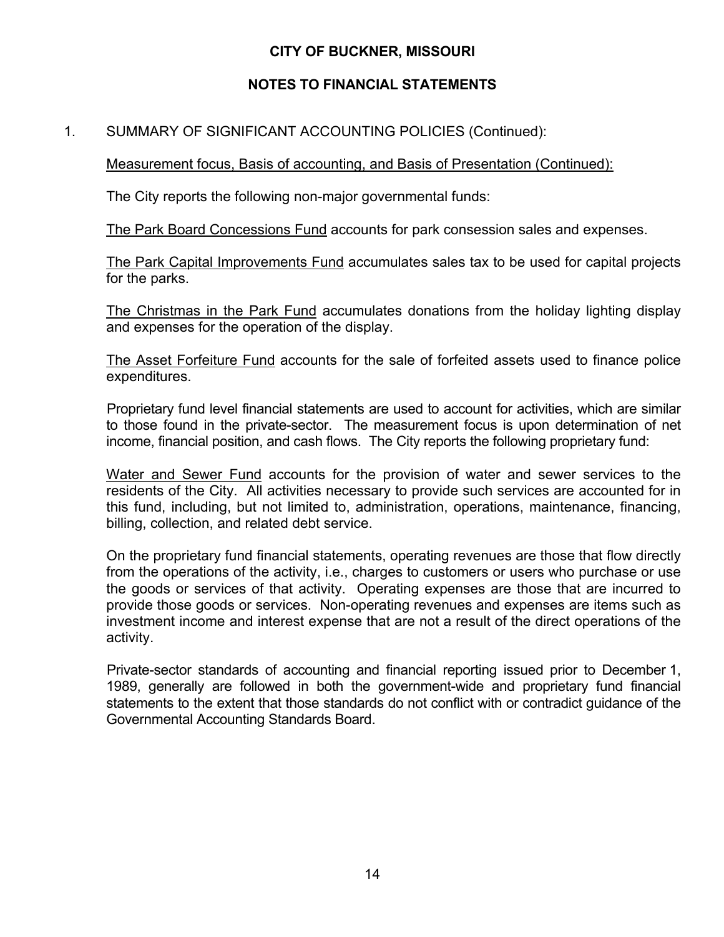## **NOTES TO FINANCIAL STATEMENTS**

## 1. SUMMARY OF SIGNIFICANT ACCOUNTING POLICIES (Continued):

Measurement focus, Basis of accounting, and Basis of Presentation (Continued):

The City reports the following non-major governmental funds:

The Park Board Concessions Fund accounts for park consession sales and expenses.

The Park Capital Improvements Fund accumulates sales tax to be used for capital projects for the parks.

The Christmas in the Park Fund accumulates donations from the holiday lighting display and expenses for the operation of the display.

The Asset Forfeiture Fund accounts for the sale of forfeited assets used to finance police expenditures.

Proprietary fund level financial statements are used to account for activities, which are similar to those found in the private-sector. The measurement focus is upon determination of net income, financial position, and cash flows. The City reports the following proprietary fund:

Water and Sewer Fund accounts for the provision of water and sewer services to the residents of the City. All activities necessary to provide such services are accounted for in this fund, including, but not limited to, administration, operations, maintenance, financing, billing, collection, and related debt service.

On the proprietary fund financial statements, operating revenues are those that flow directly from the operations of the activity, i.e., charges to customers or users who purchase or use the goods or services of that activity. Operating expenses are those that are incurred to provide those goods or services. Non-operating revenues and expenses are items such as investment income and interest expense that are not a result of the direct operations of the activity.

Private-sector standards of accounting and financial reporting issued prior to December 1, 1989, generally are followed in both the government-wide and proprietary fund financial statements to the extent that those standards do not conflict with or contradict guidance of the Governmental Accounting Standards Board.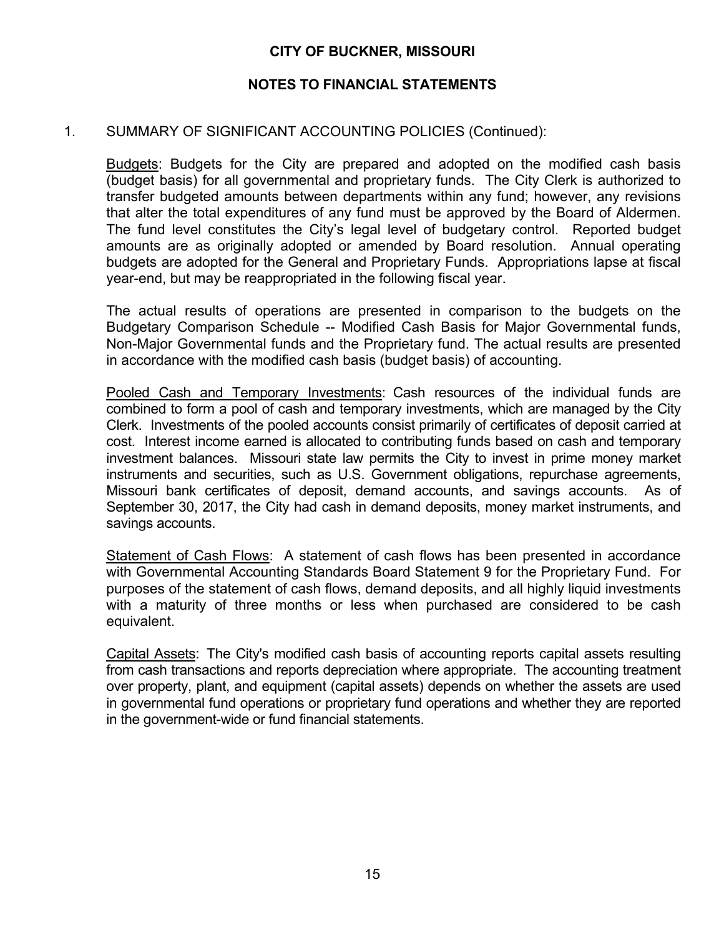#### **NOTES TO FINANCIAL STATEMENTS**

#### 1. SUMMARY OF SIGNIFICANT ACCOUNTING POLICIES (Continued):

Budgets: Budgets for the City are prepared and adopted on the modified cash basis (budget basis) for all governmental and proprietary funds. The City Clerk is authorized to transfer budgeted amounts between departments within any fund; however, any revisions that alter the total expenditures of any fund must be approved by the Board of Aldermen. The fund level constitutes the City's legal level of budgetary control. Reported budget amounts are as originally adopted or amended by Board resolution. Annual operating budgets are adopted for the General and Proprietary Funds. Appropriations lapse at fiscal year-end, but may be reappropriated in the following fiscal year.

The actual results of operations are presented in comparison to the budgets on the Budgetary Comparison Schedule -- Modified Cash Basis for Major Governmental funds, Non-Major Governmental funds and the Proprietary fund. The actual results are presented in accordance with the modified cash basis (budget basis) of accounting.

Pooled Cash and Temporary Investments: Cash resources of the individual funds are combined to form a pool of cash and temporary investments, which are managed by the City Clerk. Investments of the pooled accounts consist primarily of certificates of deposit carried at cost. Interest income earned is allocated to contributing funds based on cash and temporary investment balances. Missouri state law permits the City to invest in prime money market instruments and securities, such as U.S. Government obligations, repurchase agreements, Missouri bank certificates of deposit, demand accounts, and savings accounts. As of September 30, 2017, the City had cash in demand deposits, money market instruments, and savings accounts.

Statement of Cash Flows: A statement of cash flows has been presented in accordance with Governmental Accounting Standards Board Statement 9 for the Proprietary Fund. For purposes of the statement of cash flows, demand deposits, and all highly liquid investments with a maturity of three months or less when purchased are considered to be cash equivalent.

Capital Assets: The City's modified cash basis of accounting reports capital assets resulting from cash transactions and reports depreciation where appropriate. The accounting treatment over property, plant, and equipment (capital assets) depends on whether the assets are used in governmental fund operations or proprietary fund operations and whether they are reported in the government-wide or fund financial statements.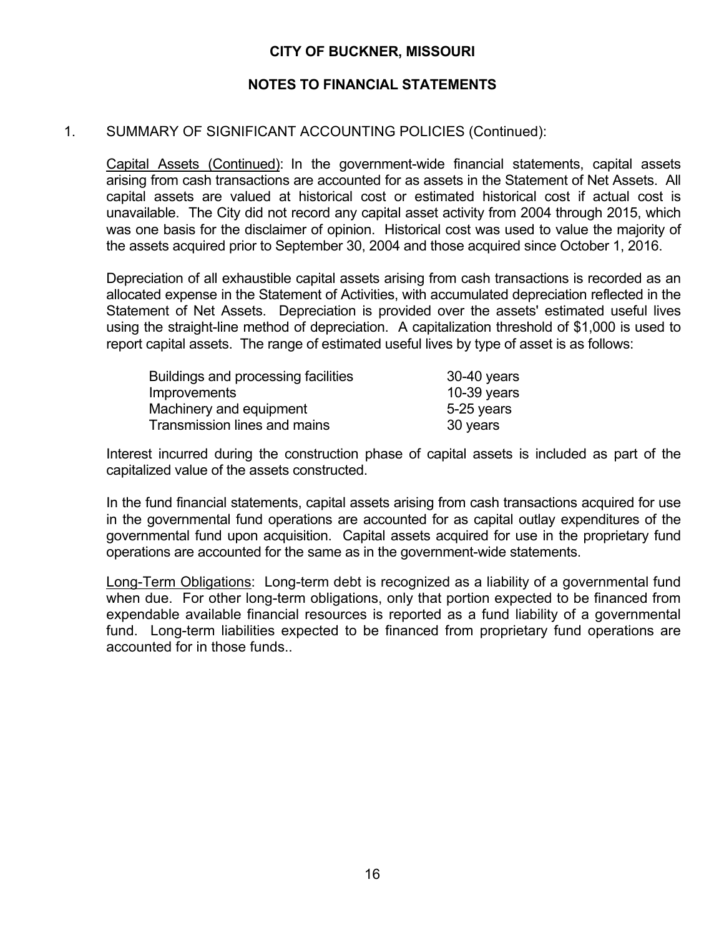#### **NOTES TO FINANCIAL STATEMENTS**

#### 1. SUMMARY OF SIGNIFICANT ACCOUNTING POLICIES (Continued):

Capital Assets (Continued): In the government-wide financial statements, capital assets arising from cash transactions are accounted for as assets in the Statement of Net Assets. All capital assets are valued at historical cost or estimated historical cost if actual cost is unavailable. The City did not record any capital asset activity from 2004 through 2015, which was one basis for the disclaimer of opinion. Historical cost was used to value the majority of the assets acquired prior to September 30, 2004 and those acquired since October 1, 2016.

Depreciation of all exhaustible capital assets arising from cash transactions is recorded as an allocated expense in the Statement of Activities, with accumulated depreciation reflected in the Statement of Net Assets. Depreciation is provided over the assets' estimated useful lives using the straight-line method of depreciation. A capitalization threshold of \$1,000 is used to report capital assets. The range of estimated useful lives by type of asset is as follows:

| Buildings and processing facilities | 30-40 years   |
|-------------------------------------|---------------|
| <i>Improvements</i>                 | $10-39$ years |
| Machinery and equipment             | 5-25 years    |
| Transmission lines and mains        | 30 years      |

Interest incurred during the construction phase of capital assets is included as part of the capitalized value of the assets constructed.

In the fund financial statements, capital assets arising from cash transactions acquired for use in the governmental fund operations are accounted for as capital outlay expenditures of the governmental fund upon acquisition. Capital assets acquired for use in the proprietary fund operations are accounted for the same as in the government-wide statements.

Long-Term Obligations: Long-term debt is recognized as a liability of a governmental fund when due. For other long-term obligations, only that portion expected to be financed from expendable available financial resources is reported as a fund liability of a governmental fund. Long-term liabilities expected to be financed from proprietary fund operations are accounted for in those funds..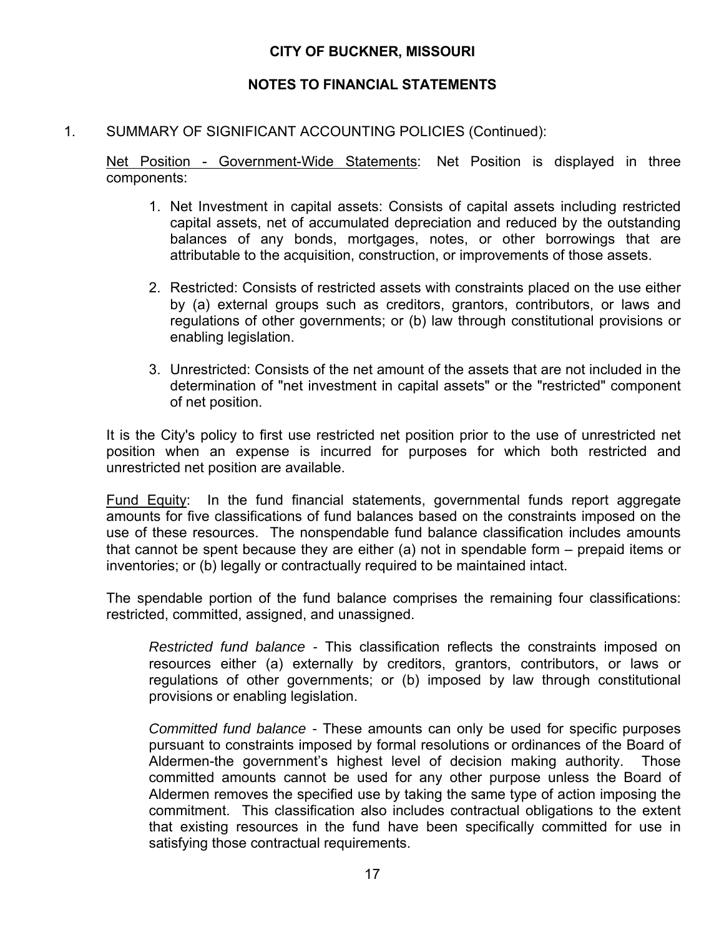## **NOTES TO FINANCIAL STATEMENTS**

#### 1. SUMMARY OF SIGNIFICANT ACCOUNTING POLICIES (Continued):

Net Position - Government-Wide Statements: Net Position is displayed in three components:

- 1. Net Investment in capital assets: Consists of capital assets including restricted capital assets, net of accumulated depreciation and reduced by the outstanding balances of any bonds, mortgages, notes, or other borrowings that are attributable to the acquisition, construction, or improvements of those assets.
- 2. Restricted: Consists of restricted assets with constraints placed on the use either by (a) external groups such as creditors, grantors, contributors, or laws and regulations of other governments; or (b) law through constitutional provisions or enabling legislation.
- 3. Unrestricted: Consists of the net amount of the assets that are not included in the determination of "net investment in capital assets" or the "restricted" component of net position.

It is the City's policy to first use restricted net position prior to the use of unrestricted net position when an expense is incurred for purposes for which both restricted and unrestricted net position are available.

Fund Equity: In the fund financial statements, governmental funds report aggregate amounts for five classifications of fund balances based on the constraints imposed on the use of these resources. The nonspendable fund balance classification includes amounts that cannot be spent because they are either (a) not in spendable form – prepaid items or inventories; or (b) legally or contractually required to be maintained intact.

The spendable portion of the fund balance comprises the remaining four classifications: restricted, committed, assigned, and unassigned.

*Restricted fund balance -* This classification reflects the constraints imposed on resources either (a) externally by creditors, grantors, contributors, or laws or regulations of other governments; or (b) imposed by law through constitutional provisions or enabling legislation.

*Committed fund balance -* These amounts can only be used for specific purposes pursuant to constraints imposed by formal resolutions or ordinances of the Board of Aldermen-the government's highest level of decision making authority. Those committed amounts cannot be used for any other purpose unless the Board of Aldermen removes the specified use by taking the same type of action imposing the commitment. This classification also includes contractual obligations to the extent that existing resources in the fund have been specifically committed for use in satisfying those contractual requirements.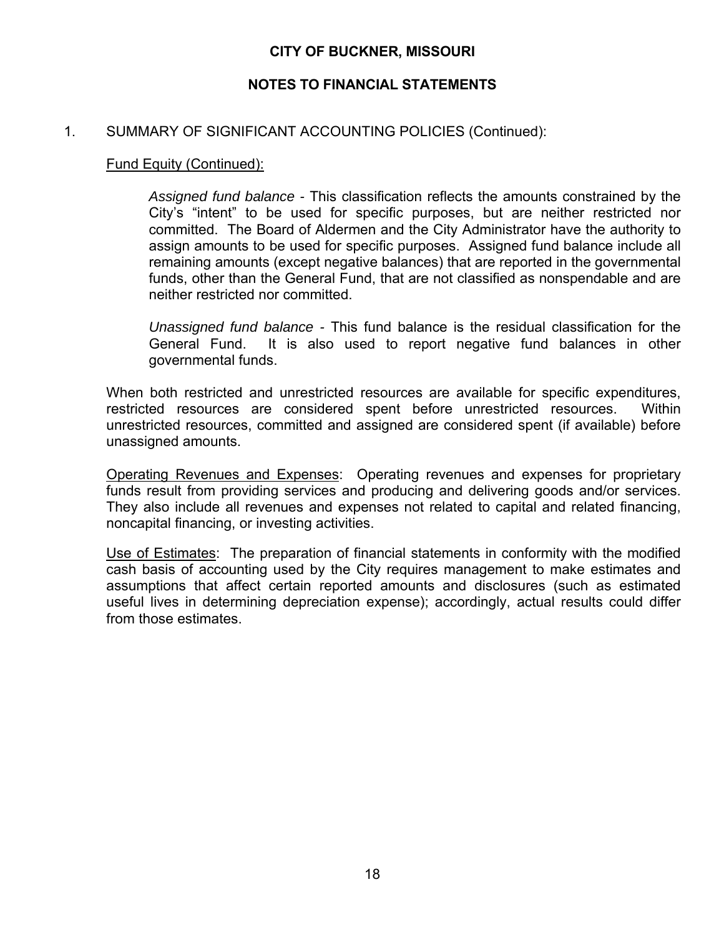### **NOTES TO FINANCIAL STATEMENTS**

#### 1. SUMMARY OF SIGNIFICANT ACCOUNTING POLICIES (Continued):

#### Fund Equity (Continued):

*Assigned fund balance -* This classification reflects the amounts constrained by the City's "intent" to be used for specific purposes, but are neither restricted nor committed. The Board of Aldermen and the City Administrator have the authority to assign amounts to be used for specific purposes. Assigned fund balance include all remaining amounts (except negative balances) that are reported in the governmental funds, other than the General Fund, that are not classified as nonspendable and are neither restricted nor committed.

*Unassigned fund balance -* This fund balance is the residual classification for the General Fund. It is also used to report negative fund balances in other governmental funds.

When both restricted and unrestricted resources are available for specific expenditures, restricted resources are considered spent before unrestricted resources. Within unrestricted resources, committed and assigned are considered spent (if available) before unassigned amounts.

Operating Revenues and Expenses: Operating revenues and expenses for proprietary funds result from providing services and producing and delivering goods and/or services. They also include all revenues and expenses not related to capital and related financing, noncapital financing, or investing activities.

Use of Estimates: The preparation of financial statements in conformity with the modified cash basis of accounting used by the City requires management to make estimates and assumptions that affect certain reported amounts and disclosures (such as estimated useful lives in determining depreciation expense); accordingly, actual results could differ from those estimates.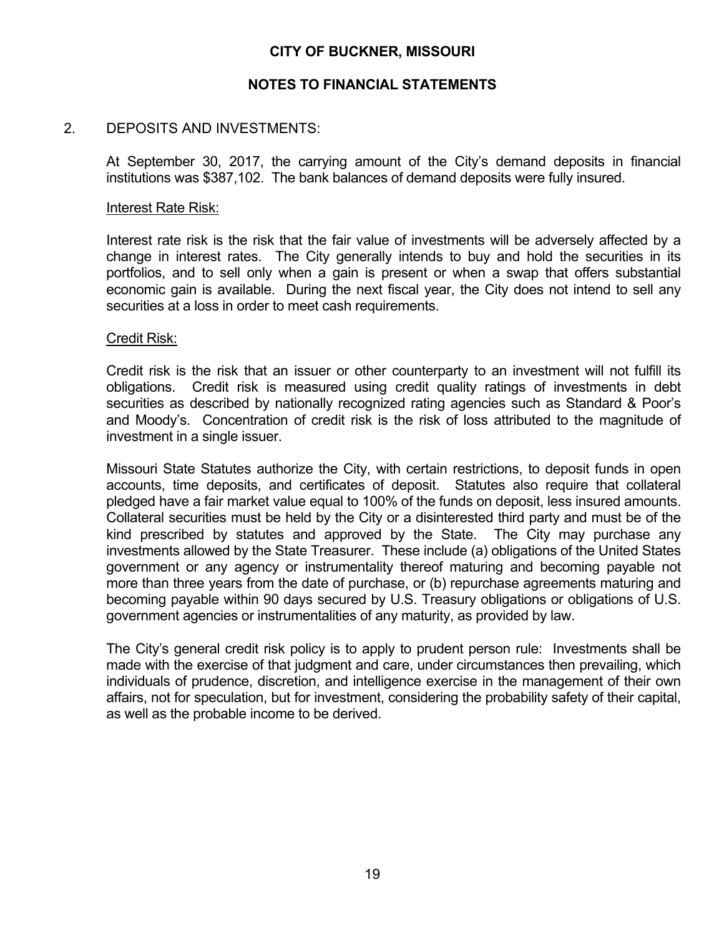#### **NOTES TO FINANCIAL STATEMENTS**

#### 2. DEPOSITS AND INVESTMENTS:

At September 30, 2017, the carrying amount of the City's demand deposits in financial institutions was \$387,102. The bank balances of demand deposits were fully insured.

#### Interest Rate Risk:

Interest rate risk is the risk that the fair value of investments will be adversely affected by a change in interest rates. The City generally intends to buy and hold the securities in its portfolios, and to sell only when a gain is present or when a swap that offers substantial economic gain is available. During the next fiscal year, the City does not intend to sell any securities at a loss in order to meet cash requirements.

#### Credit Risk:

Credit risk is the risk that an issuer or other counterparty to an investment will not fulfill its obligations. Credit risk is measured using credit quality ratings of investments in debt securities as described by nationally recognized rating agencies such as Standard & Poor's and Moody's. Concentration of credit risk is the risk of loss attributed to the magnitude of investment in a single issuer.

Missouri State Statutes authorize the City, with certain restrictions, to deposit funds in open accounts, time deposits, and certificates of deposit. Statutes also require that collateral pledged have a fair market value equal to 100% of the funds on deposit, less insured amounts. Collateral securities must be held by the City or a disinterested third party and must be of the kind prescribed by statutes and approved by the State. The City may purchase any investments allowed by the State Treasurer. These include (a) obligations of the United States government or any agency or instrumentality thereof maturing and becoming payable not more than three years from the date of purchase, or (b) repurchase agreements maturing and becoming payable within 90 days secured by U.S. Treasury obligations or obligations of U.S. government agencies or instrumentalities of any maturity, as provided by law.

The City's general credit risk policy is to apply to prudent person rule: Investments shall be made with the exercise of that judgment and care, under circumstances then prevailing, which individuals of prudence, discretion, and intelligence exercise in the management of their own affairs, not for speculation, but for investment, considering the probability safety of their capital, as well as the probable income to be derived.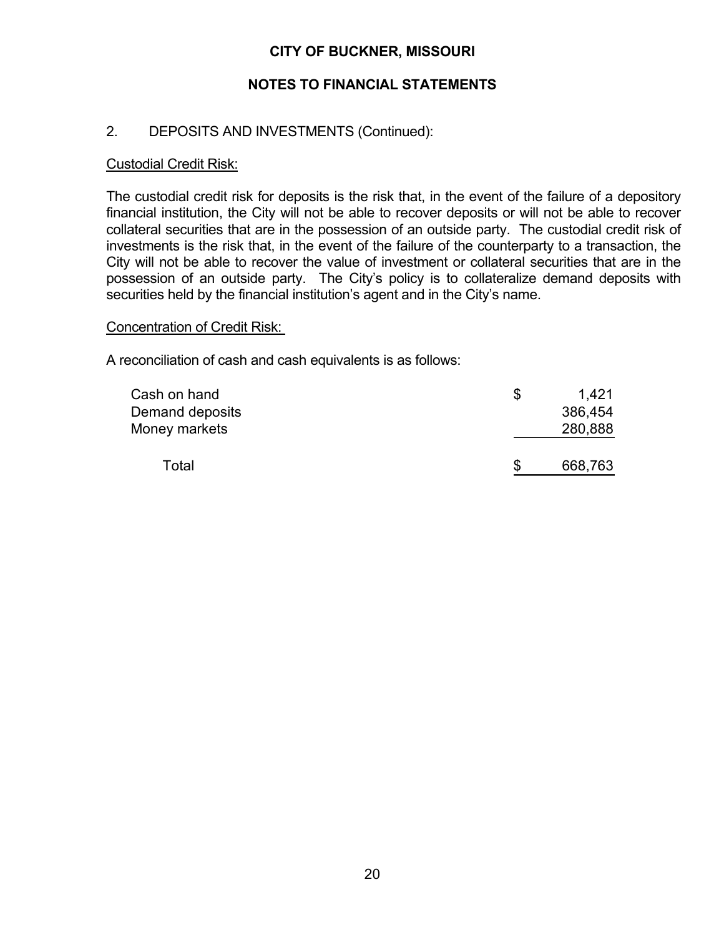## **NOTES TO FINANCIAL STATEMENTS**

## 2. DEPOSITS AND INVESTMENTS (Continued):

#### Custodial Credit Risk:

The custodial credit risk for deposits is the risk that, in the event of the failure of a depository financial institution, the City will not be able to recover deposits or will not be able to recover collateral securities that are in the possession of an outside party. The custodial credit risk of investments is the risk that, in the event of the failure of the counterparty to a transaction, the City will not be able to recover the value of investment or collateral securities that are in the possession of an outside party. The City's policy is to collateralize demand deposits with securities held by the financial institution's agent and in the City's name.

#### Concentration of Credit Risk:

A reconciliation of cash and cash equivalents is as follows:

| Cash on hand<br>Demand deposits<br>Money markets | \$ | 1,421<br>386,454<br>280,888 |
|--------------------------------------------------|----|-----------------------------|
| Total                                            | S  | 668,763                     |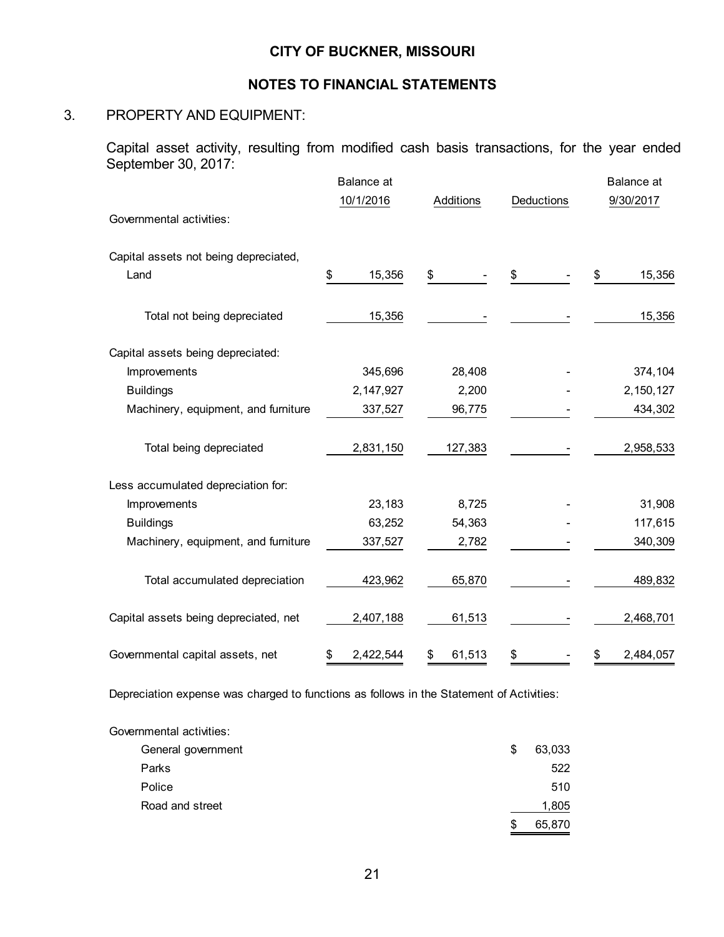#### **NOTES TO FINANCIAL STATEMENTS**

## 3. PROPERTY AND EQUIPMENT:

Capital asset activity, resulting from modified cash basis transactions, for the year ended September 30, 2017:

|                                       | <b>Balance</b> at |              |            | <b>Balance</b> at |
|---------------------------------------|-------------------|--------------|------------|-------------------|
|                                       | 10/1/2016         | Additions    | Deductions | 9/30/2017         |
| Governmental activities:              |                   |              |            |                   |
| Capital assets not being depreciated, |                   |              |            |                   |
| Land                                  | \$<br>15,356      | \$           | \$         | 15,356<br>\$      |
| Total not being depreciated           | 15,356            |              |            | 15,356            |
| Capital assets being depreciated:     |                   |              |            |                   |
| Improvements                          | 345,696           | 28,408       |            | 374,104           |
| <b>Buildings</b>                      | 2,147,927         | 2,200        |            | 2, 150, 127       |
| Machinery, equipment, and furniture   | 337,527           | 96,775       |            | 434,302           |
| Total being depreciated               | 2,831,150         | 127,383      |            | 2,958,533         |
| Less accumulated depreciation for:    |                   |              |            |                   |
| Improvements                          | 23,183            | 8,725        |            | 31,908            |
| <b>Buildings</b>                      | 63,252            | 54,363       |            | 117,615           |
| Machinery, equipment, and furniture   | 337,527           | 2,782        |            | 340,309           |
| Total accumulated depreciation        | 423,962           | 65,870       |            | 489,832           |
| Capital assets being depreciated, net | 2,407,188         | 61,513       |            | 2,468,701         |
| Governmental capital assets, net      | 2,422,544<br>\$   | 61,513<br>\$ | \$         | 2,484,057<br>\$   |

Depreciation expense was charged to functions as follows in the Statement of Activities:

| Governmental activities: |    |        |
|--------------------------|----|--------|
| General government       | \$ | 63,033 |
| Parks                    |    | 522    |
| Police                   |    | 510    |
| Road and street          |    | 1,805  |
|                          | S  | 65,870 |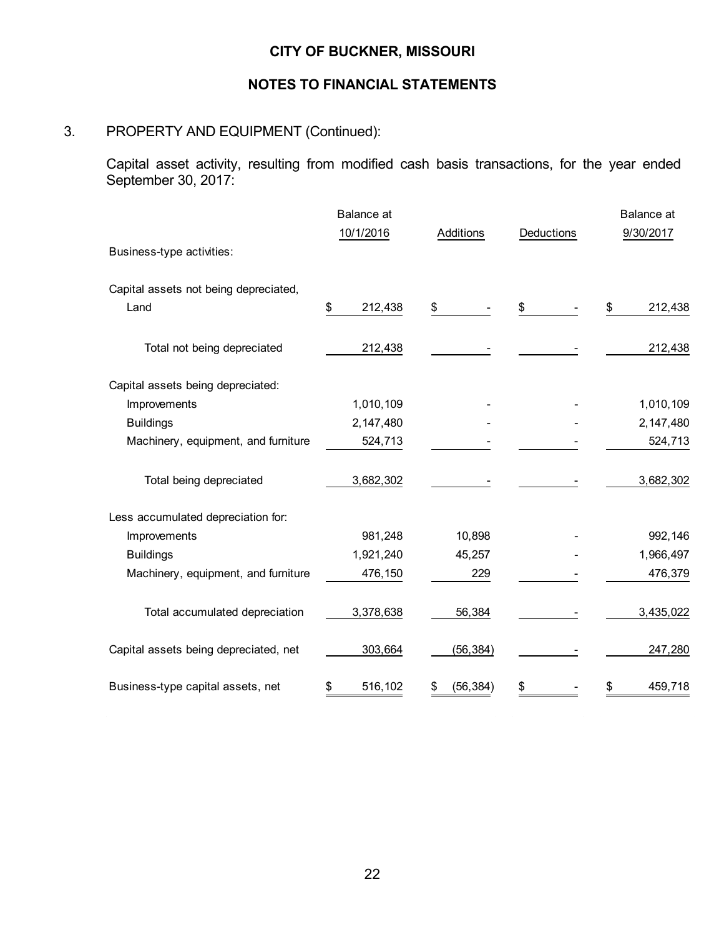## **NOTES TO FINANCIAL STATEMENTS**

## 3. PROPERTY AND EQUIPMENT (Continued):

Capital asset activity, resulting from modified cash basis transactions, for the year ended September 30, 2017:

|                                       | <b>Balance</b> at |           |            | <b>Balance</b> at |
|---------------------------------------|-------------------|-----------|------------|-------------------|
|                                       | 10/1/2016         | Additions | Deductions | 9/30/2017         |
| Business-type activities:             |                   |           |            |                   |
| Capital assets not being depreciated, |                   |           |            |                   |
| Land                                  | 212,438<br>\$     | \$        | \$         | 212,438<br>\$     |
| Total not being depreciated           | 212,438           |           |            | 212,438           |
| Capital assets being depreciated:     |                   |           |            |                   |
| Improvements                          | 1,010,109         |           |            | 1,010,109         |
| <b>Buildings</b>                      | 2,147,480         |           |            | 2,147,480         |
| Machinery, equipment, and furniture   | 524,713           |           |            | 524,713           |
| Total being depreciated               | 3,682,302         |           |            | 3,682,302         |
| Less accumulated depreciation for:    |                   |           |            |                   |
| Improvements                          | 981,248           | 10,898    |            | 992, 146          |
| <b>Buildings</b>                      | 1,921,240         | 45,257    |            | 1,966,497         |
| Machinery, equipment, and furniture   | 476,150           | 229       |            | 476,379           |
| Total accumulated depreciation        | 3,378,638         | 56,384    |            | 3,435,022         |
| Capital assets being depreciated, net | 303,664           | (56, 384) |            | 247,280           |
| Business-type capital assets, net     | 516,102<br>S      | (56, 384) | \$         | 459,718<br>\$     |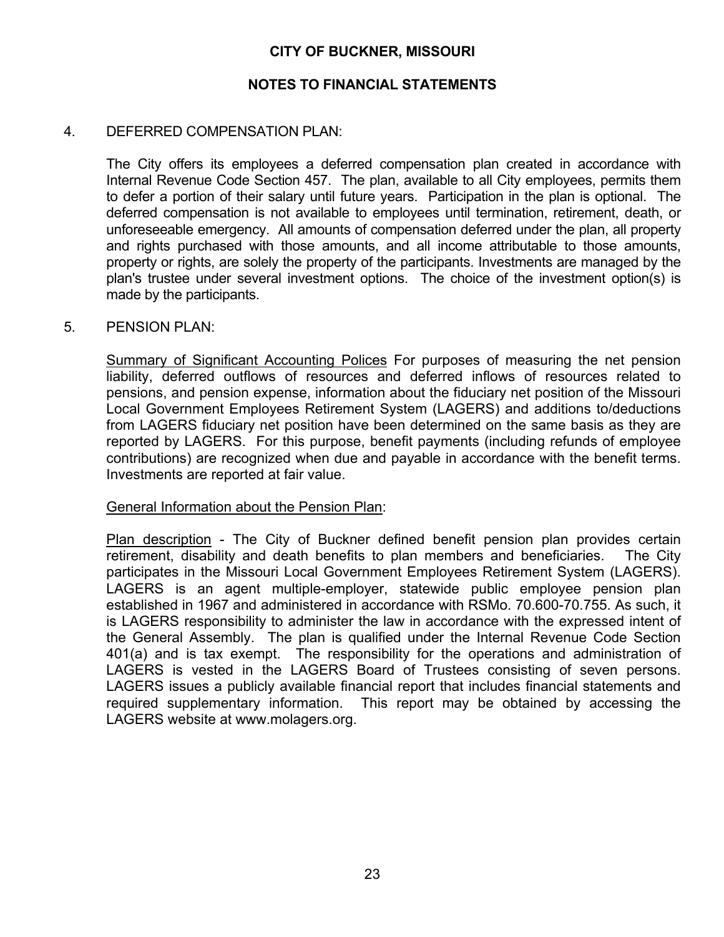#### **NOTES TO FINANCIAL STATEMENTS**

#### 4. DEFERRED COMPENSATION PLAN:

 The City offers its employees a deferred compensation plan created in accordance with Internal Revenue Code Section 457. The plan, available to all City employees, permits them to defer a portion of their salary until future years. Participation in the plan is optional. The deferred compensation is not available to employees until termination, retirement, death, or unforeseeable emergency. All amounts of compensation deferred under the plan, all property and rights purchased with those amounts, and all income attributable to those amounts, property or rights, are solely the property of the participants. Investments are managed by the plan's trustee under several investment options. The choice of the investment option(s) is made by the participants.

#### 5. PENSION PLAN:

Summary of Significant Accounting Polices For purposes of measuring the net pension liability, deferred outflows of resources and deferred inflows of resources related to pensions, and pension expense, information about the fiduciary net position of the Missouri Local Government Employees Retirement System (LAGERS) and additions to/deductions from LAGERS fiduciary net position have been determined on the same basis as they are reported by LAGERS. For this purpose, benefit payments (including refunds of employee contributions) are recognized when due and payable in accordance with the benefit terms. Investments are reported at fair value.

#### General Information about the Pension Plan:

Plan description - The City of Buckner defined benefit pension plan provides certain retirement, disability and death benefits to plan members and beneficiaries. The City participates in the Missouri Local Government Employees Retirement System (LAGERS). LAGERS is an agent multiple-employer, statewide public employee pension plan established in 1967 and administered in accordance with RSMo. 70.600-70.755. As such, it is LAGERS responsibility to administer the law in accordance with the expressed intent of the General Assembly. The plan is qualified under the Internal Revenue Code Section 401(a) and is tax exempt. The responsibility for the operations and administration of LAGERS is vested in the LAGERS Board of Trustees consisting of seven persons. LAGERS issues a publicly available financial report that includes financial statements and required supplementary information. This report may be obtained by accessing the LAGERS website at www.molagers.org.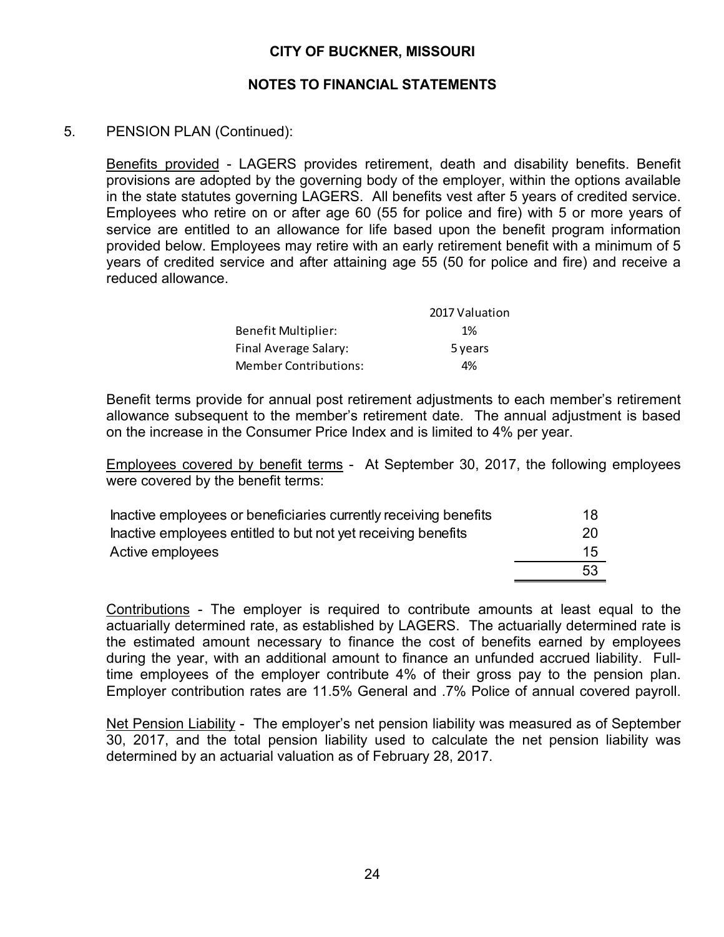#### **NOTES TO FINANCIAL STATEMENTS**

#### 5. PENSION PLAN (Continued):

Benefits provided - LAGERS provides retirement, death and disability benefits. Benefit provisions are adopted by the governing body of the employer, within the options available in the state statutes governing LAGERS. All benefits vest after 5 years of credited service. Employees who retire on or after age 60 (55 for police and fire) with 5 or more years of service are entitled to an allowance for life based upon the benefit program information provided below. Employees may retire with an early retirement benefit with a minimum of 5 years of credited service and after attaining age 55 (50 for police and fire) and receive a reduced allowance.

|                              | 2017 Valuation |
|------------------------------|----------------|
| Benefit Multiplier:          | 1%             |
| Final Average Salary:        | 5 years        |
| <b>Member Contributions:</b> | 4%             |

Benefit terms provide for annual post retirement adjustments to each member's retirement allowance subsequent to the member's retirement date. The annual adjustment is based on the increase in the Consumer Price Index and is limited to 4% per year.

Employees covered by benefit terms - At September 30, 2017, the following employees were covered by the benefit terms:

| Inactive employees or beneficiaries currently receiving benefits | 18 |
|------------------------------------------------------------------|----|
| Inactive employees entitled to but not yet receiving benefits    | 20 |
| Active employees                                                 | 15 |
|                                                                  | 53 |

Contributions - The employer is required to contribute amounts at least equal to the actuarially determined rate, as established by LAGERS. The actuarially determined rate is the estimated amount necessary to finance the cost of benefits earned by employees during the year, with an additional amount to finance an unfunded accrued liability. Fulltime employees of the employer contribute 4% of their gross pay to the pension plan. Employer contribution rates are 11.5% General and .7% Police of annual covered payroll.

Net Pension Liability -The employer's net pension liability was measured as of September 30, 2017, and the total pension liability used to calculate the net pension liability was determined by an actuarial valuation as of February 28, 2017.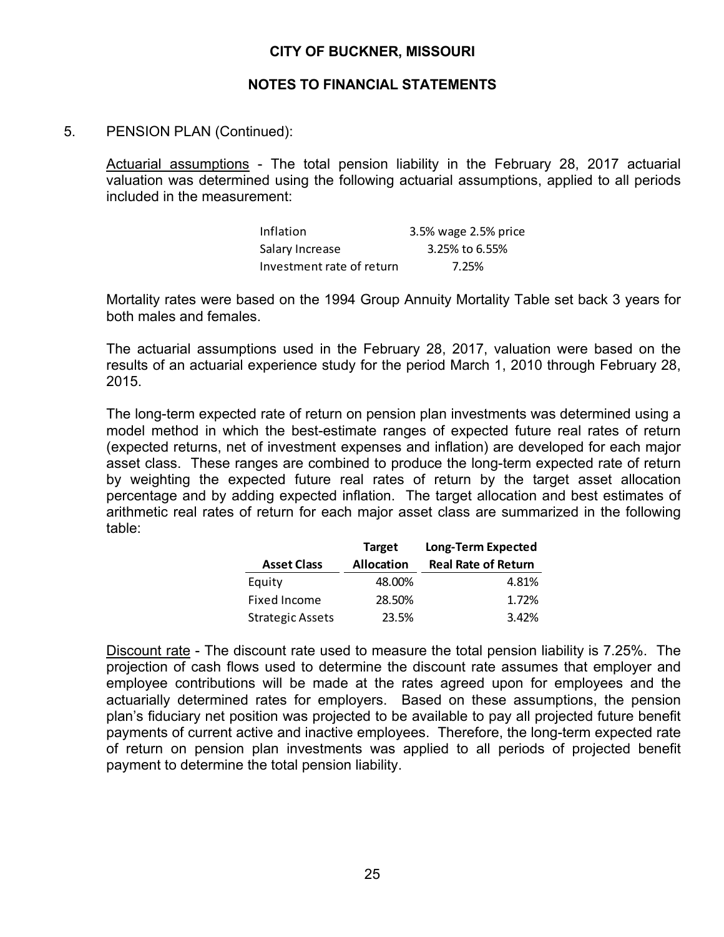#### **NOTES TO FINANCIAL STATEMENTS**

#### 5. PENSION PLAN (Continued):

Actuarial assumptions - The total pension liability in the February 28, 2017 actuarial valuation was determined using the following actuarial assumptions, applied to all periods included in the measurement:

| Inflation                 | 3.5% wage 2.5% price |
|---------------------------|----------------------|
| Salary Increase           | 3.25% to 6.55%       |
| Investment rate of return | 7.25%                |

Mortality rates were based on the 1994 Group Annuity Mortality Table set back 3 years for both males and females.

The actuarial assumptions used in the February 28, 2017, valuation were based on the results of an actuarial experience study for the period March 1, 2010 through February 28, 2015.

The long-term expected rate of return on pension plan investments was determined using a model method in which the best-estimate ranges of expected future real rates of return (expected returns, net of investment expenses and inflation) are developed for each major asset class. These ranges are combined to produce the long-term expected rate of return by weighting the expected future real rates of return by the target asset allocation percentage and by adding expected inflation. The target allocation and best estimates of arithmetic real rates of return for each major asset class are summarized in the following table:

|                         | <b>Target</b>     | <b>Long-Term Expected</b>  |  |
|-------------------------|-------------------|----------------------------|--|
| <b>Asset Class</b>      | <b>Allocation</b> | <b>Real Rate of Return</b> |  |
| Equity                  | 48.00%            | 4.81%                      |  |
| <b>Fixed Income</b>     | 28.50%            | 1.72%                      |  |
| <b>Strategic Assets</b> | 23.5%             | 3.42%                      |  |

Discount rate - The discount rate used to measure the total pension liability is 7.25%. The projection of cash flows used to determine the discount rate assumes that employer and employee contributions will be made at the rates agreed upon for employees and the actuarially determined rates for employers. Based on these assumptions, the pension plan's fiduciary net position was projected to be available to pay all projected future benefit payments of current active and inactive employees. Therefore, the long-term expected rate of return on pension plan investments was applied to all periods of projected benefit payment to determine the total pension liability.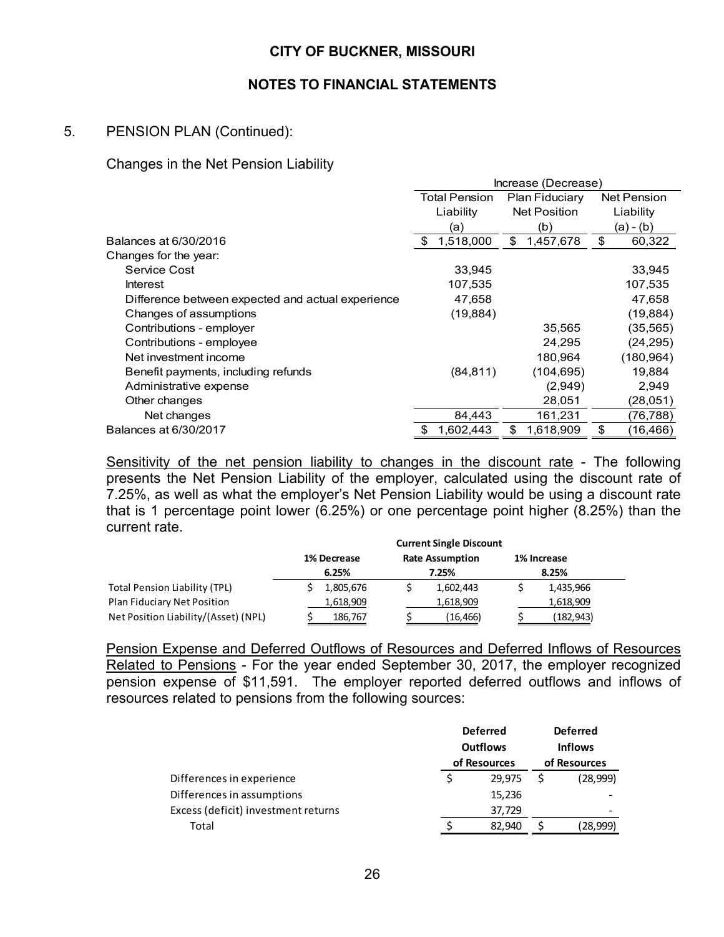#### **NOTES TO FINANCIAL STATEMENTS**

### 5. PENSION PLAN (Continued):

#### Changes in the Net Pension Liability

|                                                   | Increase (Decrease)                                   |                     |                 |  |
|---------------------------------------------------|-------------------------------------------------------|---------------------|-----------------|--|
|                                                   | <b>Total Pension</b><br>Plan Fiduciary<br>Net Pension |                     |                 |  |
|                                                   | Liability                                             | <b>Net Position</b> | Liability       |  |
|                                                   | (a)                                                   | (b)                 | (a) - (b)       |  |
| Balances at 6/30/2016                             | 1,518,000<br>\$                                       | 1,457,678<br>\$     | \$<br>60,322    |  |
| Changes for the year:                             |                                                       |                     |                 |  |
| Service Cost                                      | 33,945                                                |                     | 33,945          |  |
| Interest                                          | 107,535                                               |                     | 107,535         |  |
| Difference between expected and actual experience | 47,658                                                |                     | 47,658          |  |
| Changes of assumptions                            | (19, 884)                                             |                     | (19, 884)       |  |
| Contributions - employer                          |                                                       | 35,565              | (35, 565)       |  |
| Contributions - employee                          |                                                       | 24,295              | (24, 295)       |  |
| Net investment income                             |                                                       | 180,964             | (180, 964)      |  |
| Benefit payments, including refunds               | (84, 811)                                             | (104, 695)          | 19,884          |  |
| Administrative expense                            |                                                       | (2,949)             | 2,949           |  |
| Other changes                                     |                                                       | 28,051              | (28,051)        |  |
| Net changes                                       | 84,443                                                | 161,231             | (76, 788)       |  |
| Balances at 6/30/2017                             | 1,602,443                                             | 1,618,909<br>S      | (16, 466)<br>\$ |  |

Sensitivity of the net pension liability to changes in the discount rate - The following presents the Net Pension Liability of the employer, calculated using the discount rate of 7.25%, as well as what the employer's Net Pension Liability would be using a discount rate that is 1 percentage point lower (6.25%) or one percentage point higher (8.25%) than the current rate.

|                                      | <b>Current Single Discount</b>        |           |             |  |  |
|--------------------------------------|---------------------------------------|-----------|-------------|--|--|
|                                      | <b>Rate Assumption</b><br>1% Decrease |           | 1% Increase |  |  |
|                                      | 6.25%                                 | 7.25%     | 8.25%       |  |  |
| Total Pension Liability (TPL)        | 1,805,676                             | 1,602,443 | 1,435,966   |  |  |
| Plan Fiduciary Net Position          | 1,618,909                             | 1,618,909 | 1,618,909   |  |  |
| Net Position Liability/(Asset) (NPL) | 186,767                               | (16,466)  | (182,943)   |  |  |

Pension Expense and Deferred Outflows of Resources and Deferred Inflows of Resources Related to Pensions - For the year ended September 30, 2017, the employer recognized pension expense of \$11,591. The employer reported deferred outflows and inflows of resources related to pensions from the following sources:

|                                     | <b>Deferred</b><br><b>Outflows</b> |              | <b>Deferred</b> |                                |
|-------------------------------------|------------------------------------|--------------|-----------------|--------------------------------|
|                                     |                                    |              |                 | <b>Inflows</b><br>of Resources |
|                                     |                                    | of Resources |                 |                                |
| Differences in experience           |                                    | 29.975       |                 | (28,999)                       |
| Differences in assumptions          |                                    | 15,236       |                 |                                |
| Excess (deficit) investment returns |                                    | 37,729       |                 |                                |
| Total                               |                                    | 82.940       |                 | (28,999)                       |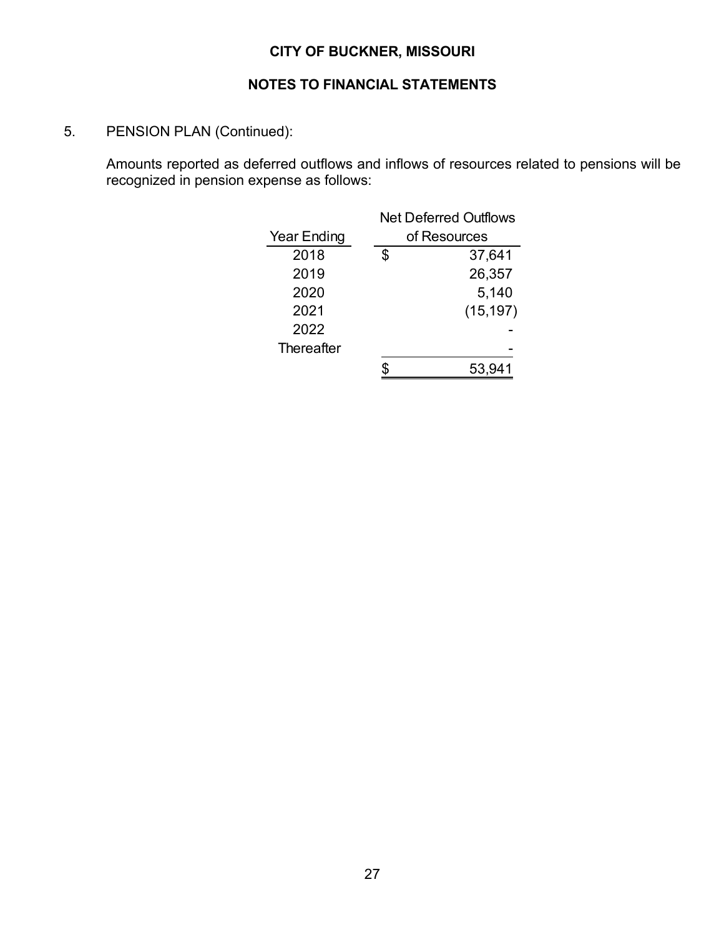## **NOTES TO FINANCIAL STATEMENTS**

5. PENSION PLAN (Continued):

Amounts reported as deferred outflows and inflows of resources related to pensions will be recognized in pension expense as follows:

|                    |    | <b>Net Deferred Outflows</b> |  |  |  |  |
|--------------------|----|------------------------------|--|--|--|--|
| <b>Year Ending</b> |    | of Resources                 |  |  |  |  |
| 2018               | S. | 37,641                       |  |  |  |  |
| 2019               |    | 26,357                       |  |  |  |  |
| 2020               |    | 5,140                        |  |  |  |  |
| 2021               |    | (15, 197)                    |  |  |  |  |
| 2022               |    |                              |  |  |  |  |
| Thereafter         |    |                              |  |  |  |  |
|                    |    | 53,941                       |  |  |  |  |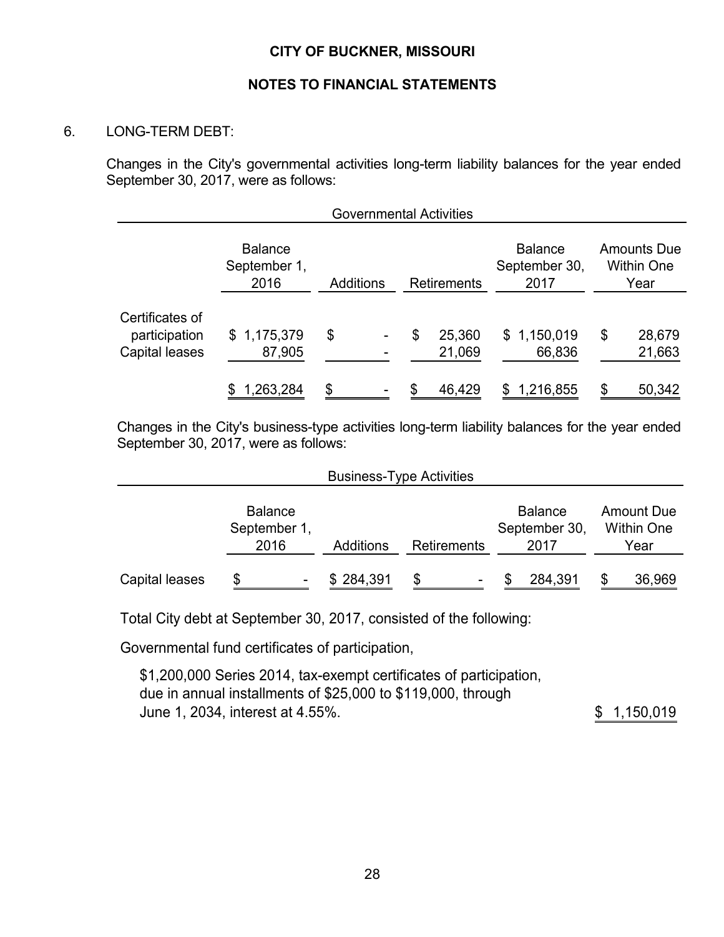#### **NOTES TO FINANCIAL STATEMENTS**

#### 6. LONG-TERM DEBT:

Changes in the City's governmental activities long-term liability balances for the year ended September 30, 2017, were as follows:

|                                                    |                                        |                  |  | <b>Governmental Activities</b> |                                         |                                                 |                  |
|----------------------------------------------------|----------------------------------------|------------------|--|--------------------------------|-----------------------------------------|-------------------------------------------------|------------------|
|                                                    | <b>Balance</b><br>September 1,<br>2016 | <b>Additions</b> |  | <b>Retirements</b>             | <b>Balance</b><br>September 30,<br>2017 | <b>Amounts Due</b><br><b>Within One</b><br>Year |                  |
| Certificates of<br>participation<br>Capital leases | \$1,175,379<br>87,905                  | \$               |  | \$<br>25,360<br>21,069         | \$1,150,019<br>66,836                   | \$                                              | 28,679<br>21,663 |
|                                                    | 1,263,284                              | \$               |  | \$<br>46,429                   | \$1,216,855                             | \$                                              | 50,342           |

Changes in the City's business-type activities long-term liability balances for the year ended September 30, 2017, were as follows:

| <b>Business-Type Activities</b> |                                        |                  |             |                                         |                                                |  |  |  |
|---------------------------------|----------------------------------------|------------------|-------------|-----------------------------------------|------------------------------------------------|--|--|--|
|                                 | <b>Balance</b><br>September 1,<br>2016 | <b>Additions</b> | Retirements | <b>Balance</b><br>September 30,<br>2017 | <b>Amount Due</b><br><b>Within One</b><br>Year |  |  |  |
| Capital leases                  | S                                      | \$284,391        |             | 284,391                                 | 36,969<br>\$                                   |  |  |  |

Total City debt at September 30, 2017, consisted of the following:

Governmental fund certificates of participation,

\$1,200,000 Series 2014, tax-exempt certificates of participation, due in annual installments of \$25,000 to \$119,000, through June 1, 2034, interest at 4.55%. 1,150,019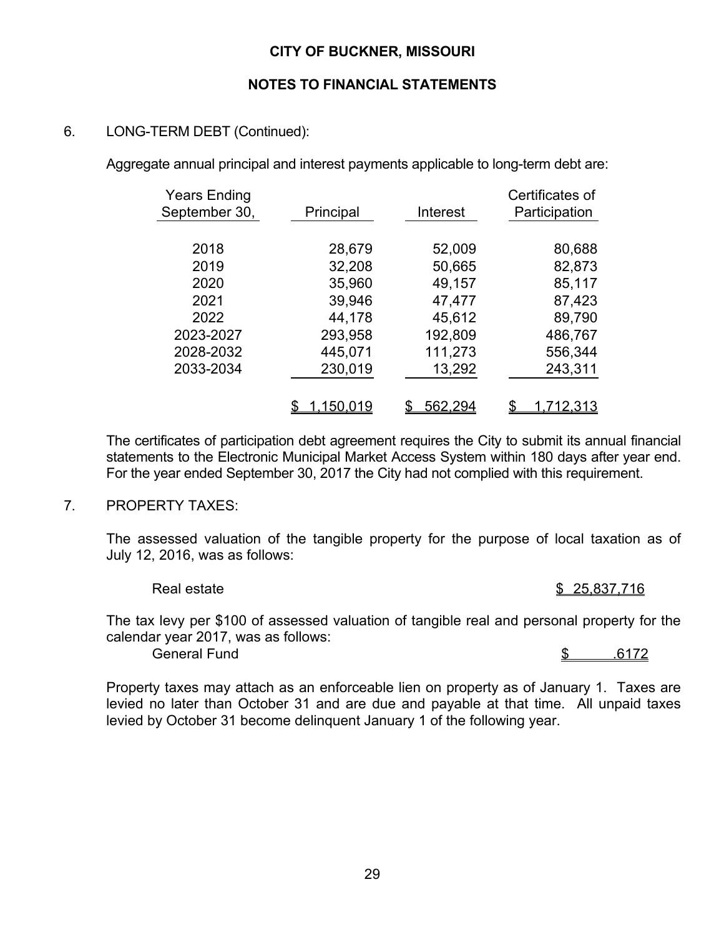### **NOTES TO FINANCIAL STATEMENTS**

## 6. LONG-TERM DEBT (Continued):

Aggregate annual principal and interest payments applicable to long-term debt are:

| <b>Years Ending</b><br>September 30, | Principal | Interest | Certificates of<br>Participation |
|--------------------------------------|-----------|----------|----------------------------------|
|                                      |           |          |                                  |
| 2018                                 | 28,679    | 52,009   | 80,688                           |
| 2019                                 | 32,208    | 50,665   | 82,873                           |
| 2020                                 | 35,960    | 49,157   | 85,117                           |
| 2021                                 | 39,946    | 47,477   | 87,423                           |
| 2022                                 | 44,178    | 45,612   | 89,790                           |
| 2023-2027                            | 293,958   | 192,809  | 486,767                          |
| 2028-2032                            | 445,071   | 111,273  | 556,344                          |
| 2033-2034                            | 230,019   | 13,292   | 243,311                          |
|                                      |           |          |                                  |
|                                      | 1,150,019 | 562,294  | \$<br><u>1.712.313</u>           |

The certificates of participation debt agreement requires the City to submit its annual financial statements to the Electronic Municipal Market Access System within 180 days after year end. For the year ended September 30, 2017 the City had not complied with this requirement.

#### 7. PROPERTY TAXES:

 The assessed valuation of the tangible property for the purpose of local taxation as of July 12, 2016, was as follows:

Real estate 25,837,716 \$25,837,716

 The tax levy per \$100 of assessed valuation of tangible real and personal property for the calendar year 2017, was as follows:

General Fund 5 .6172

 Property taxes may attach as an enforceable lien on property as of January 1. Taxes are levied no later than October 31 and are due and payable at that time. All unpaid taxes levied by October 31 become delinquent January 1 of the following year.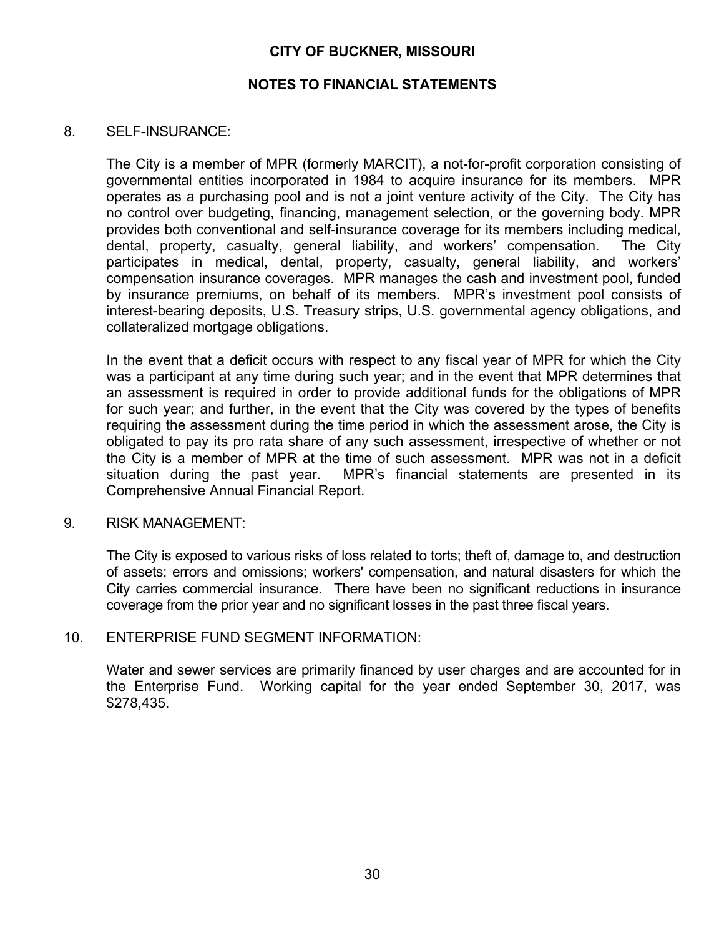#### **NOTES TO FINANCIAL STATEMENTS**

#### 8. SELF-INSURANCE:

The City is a member of MPR (formerly MARCIT), a not-for-profit corporation consisting of governmental entities incorporated in 1984 to acquire insurance for its members. MPR operates as a purchasing pool and is not a joint venture activity of the City. The City has no control over budgeting, financing, management selection, or the governing body. MPR provides both conventional and self-insurance coverage for its members including medical, dental, property, casualty, general liability, and workers' compensation. The City participates in medical, dental, property, casualty, general liability, and workers' compensation insurance coverages. MPR manages the cash and investment pool, funded by insurance premiums, on behalf of its members. MPR's investment pool consists of interest-bearing deposits, U.S. Treasury strips, U.S. governmental agency obligations, and collateralized mortgage obligations.

In the event that a deficit occurs with respect to any fiscal year of MPR for which the City was a participant at any time during such year; and in the event that MPR determines that an assessment is required in order to provide additional funds for the obligations of MPR for such year; and further, in the event that the City was covered by the types of benefits requiring the assessment during the time period in which the assessment arose, the City is obligated to pay its pro rata share of any such assessment, irrespective of whether or not the City is a member of MPR at the time of such assessment. MPR was not in a deficit situation during the past year. MPR's financial statements are presented in its Comprehensive Annual Financial Report.

#### 9. RISK MANAGEMENT:

 The City is exposed to various risks of loss related to torts; theft of, damage to, and destruction of assets; errors and omissions; workers' compensation, and natural disasters for which the City carries commercial insurance. There have been no significant reductions in insurance coverage from the prior year and no significant losses in the past three fiscal years.

#### 10. ENTERPRISE FUND SEGMENT INFORMATION:

Water and sewer services are primarily financed by user charges and are accounted for in the Enterprise Fund. Working capital for the year ended September 30, 2017, was \$278,435.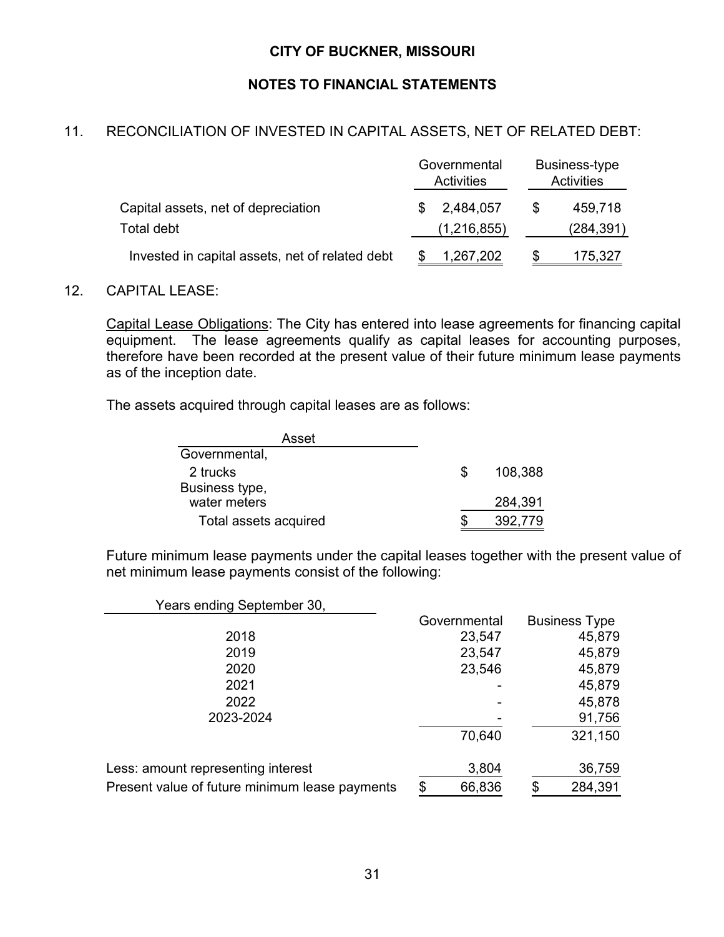## **NOTES TO FINANCIAL STATEMENTS**

## 11. RECONCILIATION OF INVESTED IN CAPITAL ASSETS, NET OF RELATED DEBT:

|   | <b>Activities</b> | Business-type<br><b>Activities</b> |                      |  |
|---|-------------------|------------------------------------|----------------------|--|
| S | 2,484,057         | \$.                                | 459,718              |  |
|   | 1,267,202         | S                                  | (284,391)<br>175,327 |  |
|   |                   | Governmental<br>(1,216,855)        |                      |  |

#### 12. CAPITAL LEASE:

Capital Lease Obligations: The City has entered into lease agreements for financing capital equipment. The lease agreements qualify as capital leases for accounting purposes, therefore have been recorded at the present value of their future minimum lease payments as of the inception date.

The assets acquired through capital leases are as follows:

| Asset                 |   |         |
|-----------------------|---|---------|
| Governmental,         |   |         |
| 2 trucks              | S | 108,388 |
| Business type,        |   |         |
| water meters          |   | 284,391 |
| Total assets acquired |   | 392.779 |

Future minimum lease payments under the capital leases together with the present value of net minimum lease payments consist of the following:

| Years ending September 30,                     |              |                      |
|------------------------------------------------|--------------|----------------------|
|                                                | Governmental | <b>Business Type</b> |
| 2018                                           | 23,547       | 45,879               |
| 2019                                           | 23,547       | 45,879               |
| 2020                                           | 23,546       | 45,879               |
| 2021                                           |              | 45,879               |
| 2022                                           |              | 45,878               |
| 2023-2024                                      |              | 91,756               |
|                                                | 70,640       | 321,150              |
| Less: amount representing interest             | 3,804        | 36,759               |
| Present value of future minimum lease payments | \$<br>66,836 | \$<br>284,391        |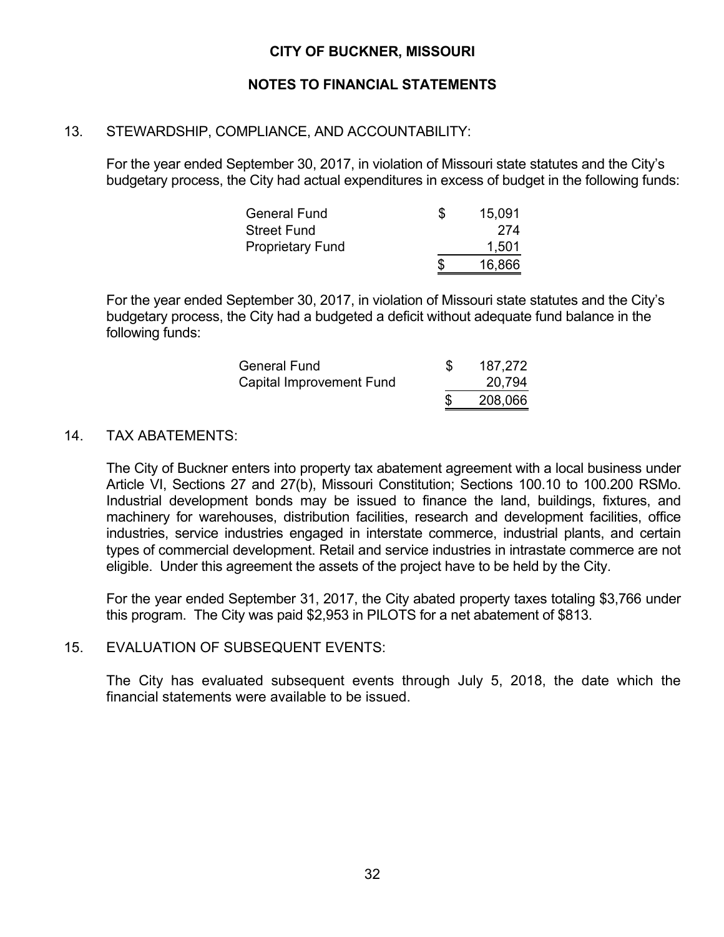## **NOTES TO FINANCIAL STATEMENTS**

## 13. STEWARDSHIP, COMPLIANCE, AND ACCOUNTABILITY:

For the year ended September 30, 2017, in violation of Missouri state statutes and the City's budgetary process, the City had actual expenditures in excess of budget in the following funds:

| <b>General Fund</b>     | S | 15,091 |
|-------------------------|---|--------|
| <b>Street Fund</b>      |   | 274    |
| <b>Proprietary Fund</b> |   | 1,501  |
|                         | S | 16,866 |

For the year ended September 30, 2017, in violation of Missouri state statutes and the City's budgetary process, the City had a budgeted a deficit without adequate fund balance in the following funds:

| <b>General Fund</b>      | 187,272 |
|--------------------------|---------|
| Capital Improvement Fund | 20,794  |
|                          | 208,066 |

### 14. TAX ABATEMENTS:

The City of Buckner enters into property tax abatement agreement with a local business under Article VI, Sections 27 and 27(b), Missouri Constitution; Sections 100.10 to 100.200 RSMo. Industrial development bonds may be issued to finance the land, buildings, fixtures, and machinery for warehouses, distribution facilities, research and development facilities, office industries, service industries engaged in interstate commerce, industrial plants, and certain types of commercial development. Retail and service industries in intrastate commerce are not eligible. Under this agreement the assets of the project have to be held by the City.

For the year ended September 31, 2017, the City abated property taxes totaling \$3,766 under this program. The City was paid \$2,953 in PILOTS for a net abatement of \$813.

### 15. EVALUATION OF SUBSEQUENT EVENTS:

The City has evaluated subsequent events through July 5, 2018, the date which the financial statements were available to be issued.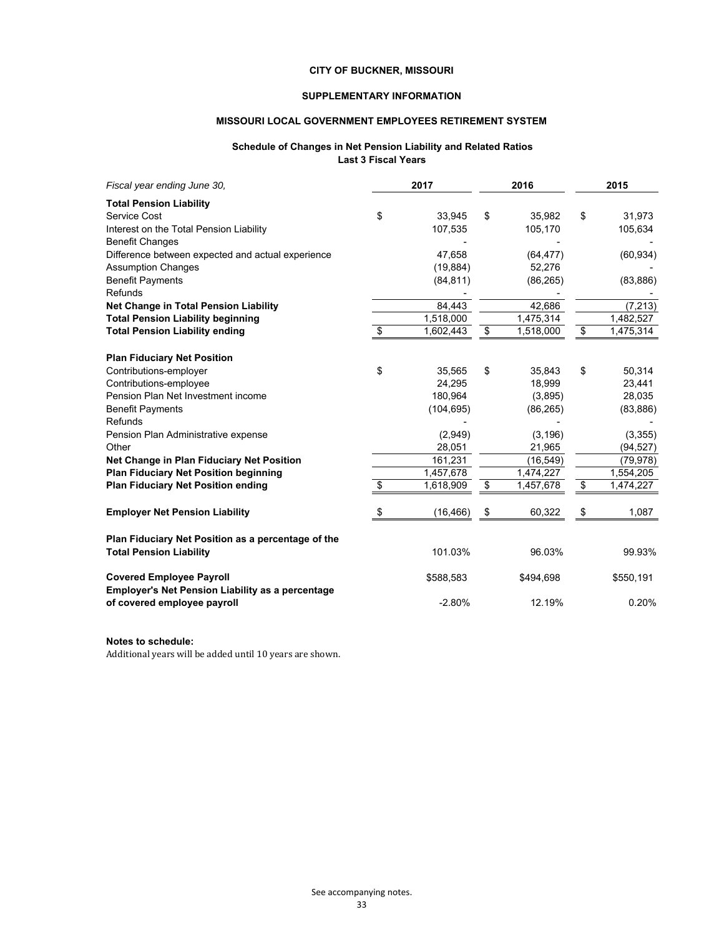#### **SUPPLEMENTARY INFORMATION**

#### **MISSOURI LOCAL GOVERNMENT EMPLOYEES RETIREMENT SYSTEM**

#### **Schedule of Changes in Net Pension Liability and Related Ratios Last 3 Fiscal Years**

| Fiscal year ending June 30,                                                                | 2017            | 2016            | 2015            |
|--------------------------------------------------------------------------------------------|-----------------|-----------------|-----------------|
| <b>Total Pension Liability</b>                                                             |                 |                 |                 |
| Service Cost                                                                               | \$<br>33,945    | \$<br>35,982    | \$<br>31,973    |
| Interest on the Total Pension Liability                                                    | 107,535         | 105,170         | 105,634         |
| <b>Benefit Changes</b>                                                                     |                 |                 |                 |
| Difference between expected and actual experience                                          | 47,658          | (64, 477)       | (60, 934)       |
| <b>Assumption Changes</b>                                                                  | (19, 884)       | 52,276          |                 |
| <b>Benefit Payments</b>                                                                    | (84, 811)       | (86, 265)       | (83, 886)       |
| Refunds                                                                                    |                 |                 |                 |
| Net Change in Total Pension Liability                                                      | 84,443          | 42,686          | (7, 213)        |
| <b>Total Pension Liability beginning</b>                                                   | 1,518,000       | 1,475,314       | 1,482,527       |
| <b>Total Pension Liability ending</b>                                                      | \$<br>1,602,443 | \$<br>1,518,000 | \$<br>1,475,314 |
|                                                                                            |                 |                 |                 |
| <b>Plan Fiduciary Net Position</b>                                                         |                 |                 |                 |
| Contributions-employer                                                                     | \$<br>35,565    | \$<br>35,843    | \$<br>50,314    |
| Contributions-employee                                                                     | 24,295          | 18,999          | 23,441          |
| Pension Plan Net Investment income                                                         | 180,964         | (3,895)         | 28,035          |
| <b>Benefit Payments</b>                                                                    | (104, 695)      | (86, 265)       | (83, 886)       |
| Refunds                                                                                    |                 |                 |                 |
| Pension Plan Administrative expense                                                        | (2,949)         | (3, 196)        | (3, 355)        |
| Other                                                                                      | 28,051          | 21,965          | (94, 527)       |
| Net Change in Plan Fiduciary Net Position                                                  | 161,231         | (16, 549)       | (79, 978)       |
| <b>Plan Fiduciary Net Position beginning</b>                                               | 1,457,678       | 1,474,227       | 1,554,205       |
| <b>Plan Fiduciary Net Position ending</b>                                                  | \$<br>1,618,909 | \$<br>1,457,678 | \$<br>1,474,227 |
| <b>Employer Net Pension Liability</b>                                                      | \$<br>(16, 466) | \$<br>60,322    | \$<br>1,087     |
| Plan Fiduciary Net Position as a percentage of the                                         |                 |                 |                 |
| <b>Total Pension Liability</b>                                                             | 101.03%         | 96.03%          | 99.93%          |
| <b>Covered Employee Payroll</b><br><b>Employer's Net Pension Liability as a percentage</b> | \$588,583       | \$494,698       | \$550,191       |
| of covered employee payroll                                                                | $-2.80%$        | 12.19%          | 0.20%           |

#### **Notes to schedule:**

Additional years will be added until 10 years are shown.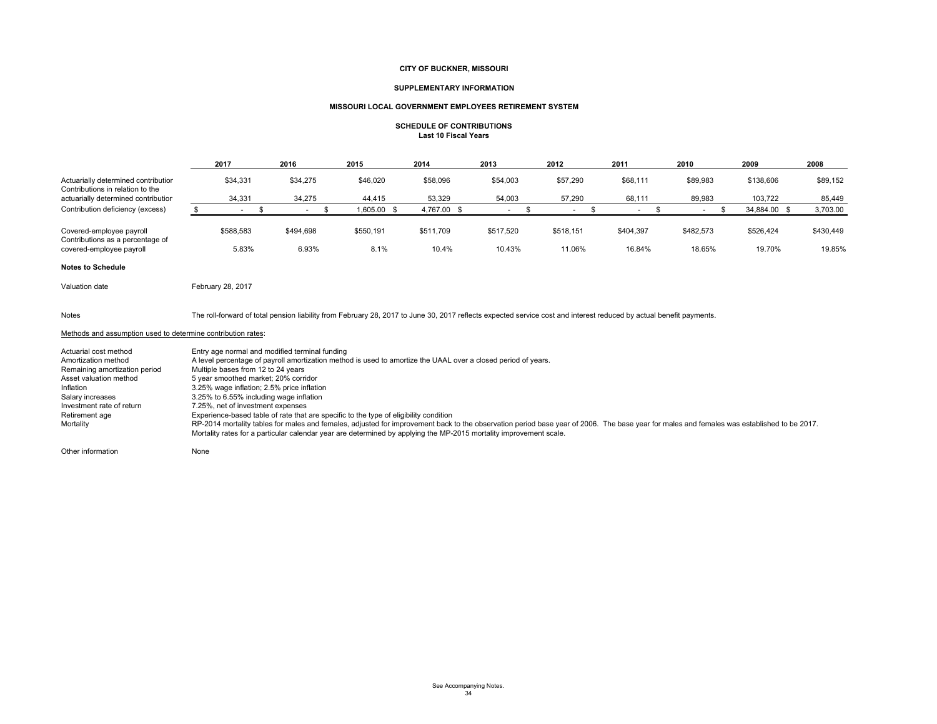#### **SUPPLEMENTARY INFORMATION**

#### **MISSOURI LOCAL GOVERNMENT EMPLOYEES RETIREMENT SYSTEM**

#### **SCHEDULE OF CONTRIBUTIONSLast 10 Fiscal Years**

|                                                                                                                                                                                                                                                                                                                                                                                                                                                                                                                                                                                                                                                                                                                                                                                                                                                                                                                                                                                                                                                                  | 2017                                                                                                                                                                | 2016               | 2015              | 2014               | 2013                            | 2012                | 2011                | 2010                | 2009                | 2008                |
|------------------------------------------------------------------------------------------------------------------------------------------------------------------------------------------------------------------------------------------------------------------------------------------------------------------------------------------------------------------------------------------------------------------------------------------------------------------------------------------------------------------------------------------------------------------------------------------------------------------------------------------------------------------------------------------------------------------------------------------------------------------------------------------------------------------------------------------------------------------------------------------------------------------------------------------------------------------------------------------------------------------------------------------------------------------|---------------------------------------------------------------------------------------------------------------------------------------------------------------------|--------------------|-------------------|--------------------|---------------------------------|---------------------|---------------------|---------------------|---------------------|---------------------|
| Actuarially determined contribution<br>Contributions in relation to the                                                                                                                                                                                                                                                                                                                                                                                                                                                                                                                                                                                                                                                                                                                                                                                                                                                                                                                                                                                          | \$34,331                                                                                                                                                            | \$34,275           | \$46,020          | \$58,096           | \$54,003                        | \$57,290            | \$68,111            | \$89,983            | \$138,606           | \$89,152            |
| actuarially determined contribution                                                                                                                                                                                                                                                                                                                                                                                                                                                                                                                                                                                                                                                                                                                                                                                                                                                                                                                                                                                                                              | 34,331                                                                                                                                                              | 34,275             | 44,415            | 53,329             | 54,003                          | 57,290              | 68,111              | 89,983              | 103,722             | 85,449              |
| Contribution deficiency (excess)                                                                                                                                                                                                                                                                                                                                                                                                                                                                                                                                                                                                                                                                                                                                                                                                                                                                                                                                                                                                                                 | $^{\circ}$<br>$\sim$                                                                                                                                                | -\$<br>$\sim$      | 1,605.00 \$       | 4,767.00 \$        | -\$<br>$\mathcal{L}_{\rm{max}}$ | - \$<br>$\sim$      | - \$<br>$\sim$      | \$<br>$\sim$        | 34,884.00 \$        | 3,703.00            |
| Covered-employee payroll<br>Contributions as a percentage of<br>covered-employee payroll                                                                                                                                                                                                                                                                                                                                                                                                                                                                                                                                                                                                                                                                                                                                                                                                                                                                                                                                                                         | \$588,583<br>5.83%                                                                                                                                                  | \$494,698<br>6.93% | \$550,191<br>8.1% | \$511,709<br>10.4% | \$517,520<br>10.43%             | \$518,151<br>11.06% | \$404,397<br>16.84% | \$482,573<br>18.65% | \$526,424<br>19.70% | \$430,449<br>19.85% |
| <b>Notes to Schedule</b>                                                                                                                                                                                                                                                                                                                                                                                                                                                                                                                                                                                                                                                                                                                                                                                                                                                                                                                                                                                                                                         |                                                                                                                                                                     |                    |                   |                    |                                 |                     |                     |                     |                     |                     |
| Valuation date                                                                                                                                                                                                                                                                                                                                                                                                                                                                                                                                                                                                                                                                                                                                                                                                                                                                                                                                                                                                                                                   | February 28, 2017                                                                                                                                                   |                    |                   |                    |                                 |                     |                     |                     |                     |                     |
| Notes                                                                                                                                                                                                                                                                                                                                                                                                                                                                                                                                                                                                                                                                                                                                                                                                                                                                                                                                                                                                                                                            | The roll-forward of total pension liability from February 28, 2017 to June 30, 2017 reflects expected service cost and interest reduced by actual benefit payments. |                    |                   |                    |                                 |                     |                     |                     |                     |                     |
|                                                                                                                                                                                                                                                                                                                                                                                                                                                                                                                                                                                                                                                                                                                                                                                                                                                                                                                                                                                                                                                                  |                                                                                                                                                                     |                    |                   |                    |                                 |                     |                     |                     |                     |                     |
| Methods and assumption used to determine contribution rates:<br>Actuarial cost method<br>Entry age normal and modified terminal funding<br>Amortization method<br>A level percentage of payroll amortization method is used to amortize the UAAL over a closed period of years.<br>Multiple bases from 12 to 24 years<br>Remaining amortization period<br>Asset valuation method<br>5 year smoothed market; 20% corridor<br>Inflation<br>3.25% wage inflation; 2.5% price inflation<br>3.25% to 6.55% including wage inflation<br>Salary increases<br>Investment rate of return<br>7.25%, net of investment expenses<br>Experience-based table of rate that are specific to the type of eligibility condition<br>Retirement age<br>RP-2014 mortality tables for males and females, adjusted for improvement back to the observation period base year of 2006. The base year for males and females was established to be 2017.<br>Mortality<br>Mortality rates for a particular calendar year are determined by applying the MP-2015 mortality improvement scale. |                                                                                                                                                                     |                    |                   |                    |                                 |                     |                     |                     |                     |                     |

Other information None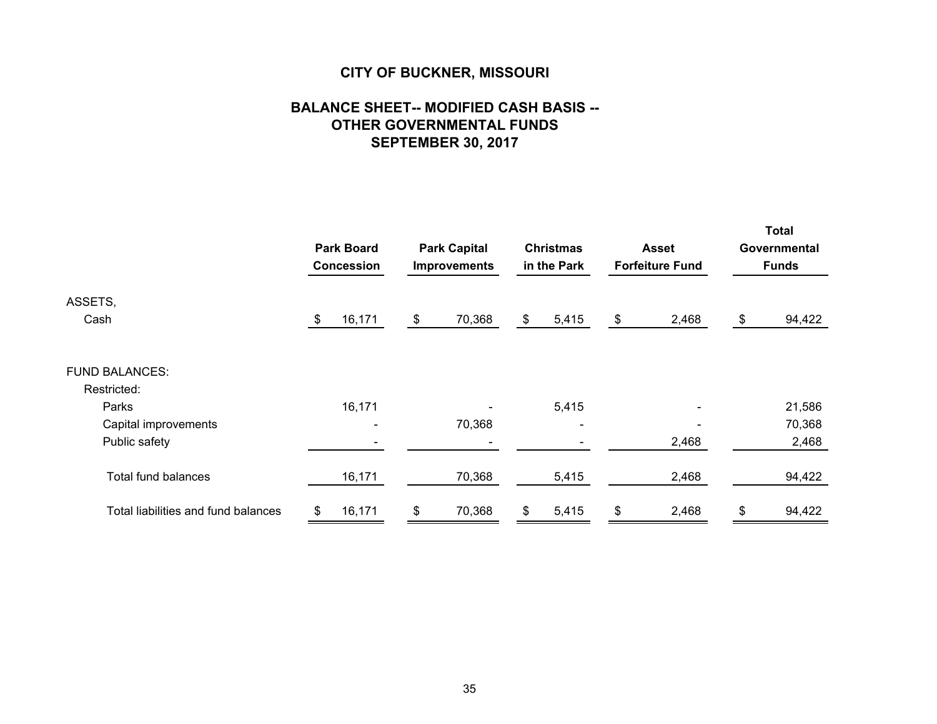## **BALANCE SHEET-- MODIFIED CASH BASIS -- OTHER GOVERNMENTAL FUNDS SEPTEMBER 30, 2017**

|                                     | <b>Park Board</b><br><b>Park Capital</b><br><b>Improvements</b><br><b>Concession</b> |        |               | <b>Christmas</b><br>in the Park |    | <b>Asset</b><br><b>Forfeiture Fund</b> |    | <b>Total</b><br>Governmental<br><b>Funds</b> |    |        |
|-------------------------------------|--------------------------------------------------------------------------------------|--------|---------------|---------------------------------|----|----------------------------------------|----|----------------------------------------------|----|--------|
| ASSETS,                             |                                                                                      |        |               |                                 |    |                                        |    |                                              |    |        |
| Cash                                | \$                                                                                   | 16,171 | $\frac{1}{2}$ | 70,368                          | \$ | 5,415                                  | \$ | 2,468                                        | \$ | 94,422 |
| <b>FUND BALANCES:</b>               |                                                                                      |        |               |                                 |    |                                        |    |                                              |    |        |
| Restricted:                         |                                                                                      |        |               |                                 |    |                                        |    |                                              |    |        |
| Parks                               |                                                                                      | 16,171 |               |                                 |    | 5,415                                  |    |                                              |    | 21,586 |
| Capital improvements                |                                                                                      |        |               | 70,368                          |    | $\overline{\phantom{0}}$               |    |                                              |    | 70,368 |
| Public safety                       |                                                                                      |        |               |                                 |    |                                        |    | 2,468                                        |    | 2,468  |
| <b>Total fund balances</b>          |                                                                                      | 16,171 |               | 70,368                          |    | 5,415                                  |    | 2,468                                        |    | 94,422 |
| Total liabilities and fund balances | \$                                                                                   | 16,171 | \$            | 70,368                          | \$ | 5,415                                  | \$ | 2,468                                        | \$ | 94,422 |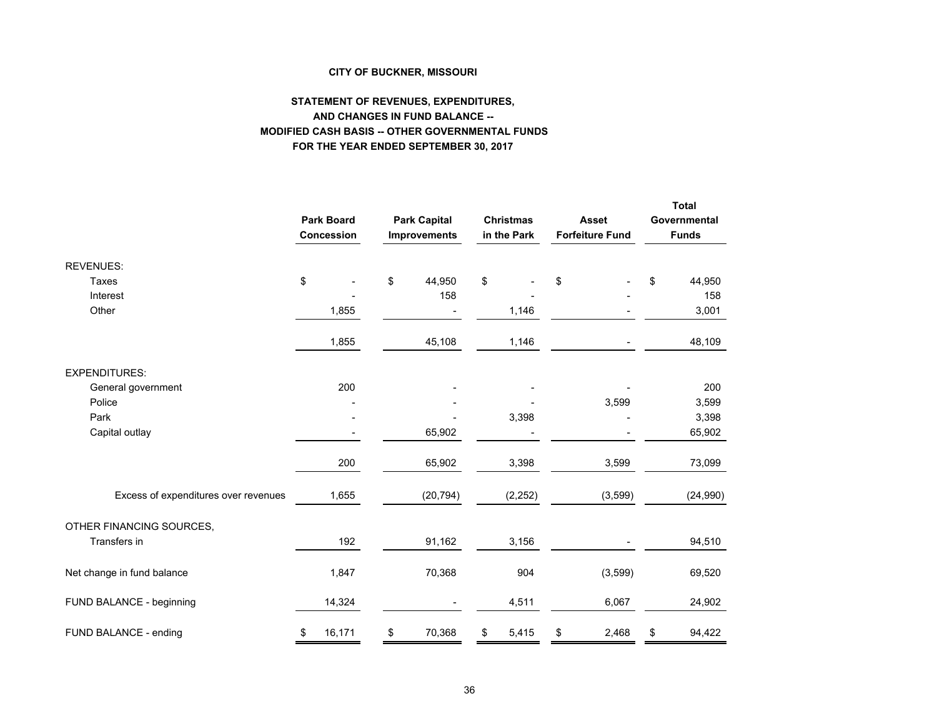#### **STATEMENT OF REVENUES, EXPENDITURES, AND CHANGES IN FUND BALANCE -- MODIFIED CASH BASIS -- OTHER GOVERNMENTAL FUNDS FOR THE YEAR ENDED SEPTEMBER 30, 2017**

|                                      | <b>Park Board</b><br>Concession | <b>Park Capital</b><br><b>Improvements</b> | <b>Christmas</b><br>in the Park | <b>Asset</b><br><b>Forfeiture Fund</b> | <b>Total</b><br>Governmental<br><b>Funds</b> |
|--------------------------------------|---------------------------------|--------------------------------------------|---------------------------------|----------------------------------------|----------------------------------------------|
| <b>REVENUES:</b>                     |                                 |                                            |                                 |                                        |                                              |
| Taxes                                | \$                              | \$<br>44,950                               | \$                              | \$                                     | \$<br>44,950                                 |
| Interest                             |                                 | 158                                        |                                 |                                        | 158                                          |
| Other                                | 1,855                           |                                            | 1,146                           |                                        | 3,001                                        |
|                                      | 1,855                           | 45,108                                     | 1,146                           |                                        | 48,109                                       |
| <b>EXPENDITURES:</b>                 |                                 |                                            |                                 |                                        |                                              |
| General government                   | 200                             |                                            |                                 |                                        | 200                                          |
| Police                               |                                 |                                            |                                 | 3,599                                  | 3,599                                        |
| Park                                 |                                 |                                            | 3,398                           |                                        | 3,398                                        |
| Capital outlay                       |                                 | 65,902                                     |                                 |                                        | 65,902                                       |
|                                      | 200                             | 65,902                                     | 3,398                           | 3,599                                  | 73,099                                       |
| Excess of expenditures over revenues | 1,655                           | (20, 794)                                  | (2, 252)                        | (3,599)                                | (24, 990)                                    |
| OTHER FINANCING SOURCES,             |                                 |                                            |                                 |                                        |                                              |
| Transfers in                         | 192                             | 91,162                                     | 3,156                           |                                        | 94,510                                       |
| Net change in fund balance           | 1,847                           | 70,368                                     | 904                             | (3,599)                                | 69,520                                       |
| FUND BALANCE - beginning             | 14,324                          |                                            | 4,511                           | 6,067                                  | 24,902                                       |
| FUND BALANCE - ending                | \$<br>16,171                    | \$<br>70,368                               | \$<br>5,415                     | \$<br>2,468                            | \$<br>94,422                                 |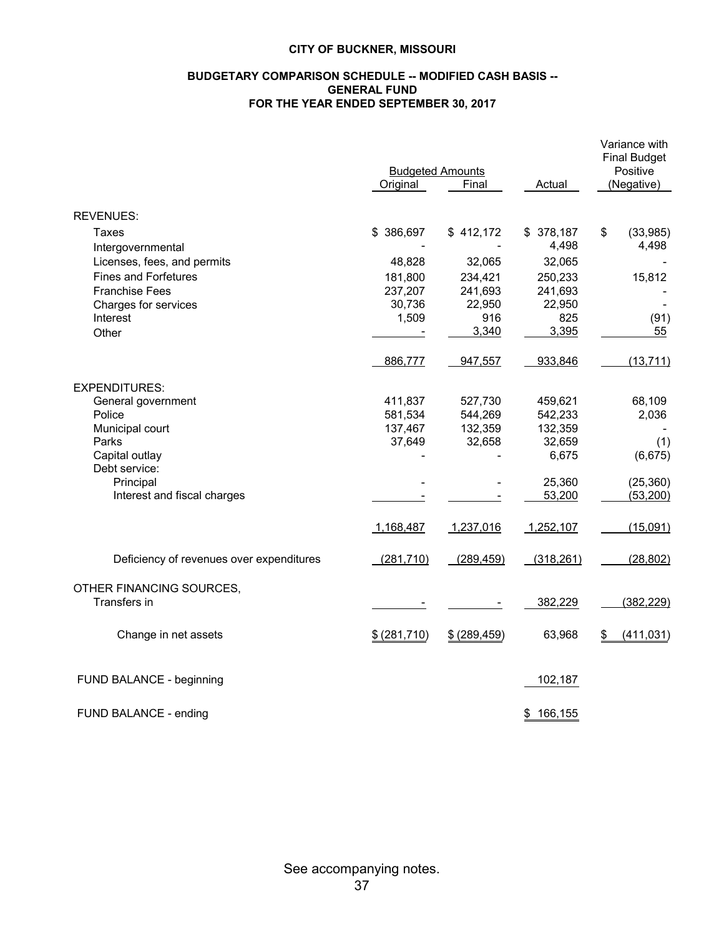#### **BUDGETARY COMPARISON SCHEDULE -- MODIFIED CASH BASIS -- GENERAL FUND FOR THE YEAR ENDED SEPTEMBER 30, 2017**

|                                          |               | Variance with<br><b>Final Budget</b><br>Positive |            |            |            |  |
|------------------------------------------|---------------|--------------------------------------------------|------------|------------|------------|--|
|                                          | Original      | <b>Budgeted Amounts</b><br>Final                 | Actual     | (Negative) |            |  |
| <b>REVENUES:</b>                         |               |                                                  |            |            |            |  |
| Taxes                                    | \$386,697     | \$412,172                                        | \$378,187  | \$         | (33,985)   |  |
| Intergovernmental                        |               |                                                  | 4,498      |            | 4,498      |  |
| Licenses, fees, and permits              | 48,828        | 32,065                                           | 32,065     |            |            |  |
| <b>Fines and Forfetures</b>              | 181,800       | 234,421                                          | 250,233    |            | 15,812     |  |
| <b>Franchise Fees</b>                    | 237,207       | 241,693                                          | 241,693    |            |            |  |
| Charges for services                     | 30,736        | 22,950                                           | 22,950     |            |            |  |
| Interest                                 | 1,509         | 916                                              | 825        |            | (91)       |  |
| Other                                    |               | 3,340                                            | 3,395      |            | 55         |  |
|                                          | 886,777       | 947,557                                          | 933,846    |            | (13, 711)  |  |
| <b>EXPENDITURES:</b>                     |               |                                                  |            |            |            |  |
| General government                       | 411,837       | 527,730                                          | 459,621    |            | 68,109     |  |
| Police                                   | 581,534       | 544,269                                          | 542,233    |            | 2,036      |  |
| Municipal court                          | 137,467       | 132,359                                          | 132,359    |            |            |  |
| Parks                                    | 37,649        | 32,658                                           | 32,659     |            | (1)        |  |
| Capital outlay<br>Debt service:          |               |                                                  | 6,675      |            | (6,675)    |  |
| Principal                                |               |                                                  | 25,360     |            | (25, 360)  |  |
| Interest and fiscal charges              |               |                                                  | 53,200     |            | (53, 200)  |  |
|                                          | 1,168,487     | 1,237,016                                        | 1,252,107  |            | (15,091)   |  |
| Deficiency of revenues over expenditures | (281, 710)    | (289, 459)                                       | (318, 261) |            | (28, 802)  |  |
| OTHER FINANCING SOURCES,                 |               |                                                  |            |            |            |  |
| Transfers in                             |               |                                                  | 382,229    |            | (382, 229) |  |
| Change in net assets                     | \$ (281, 710) | \$ (289, 459)                                    | 63,968     | \$         | (411, 031) |  |
| FUND BALANCE - beginning                 |               |                                                  | 102,187    |            |            |  |
| FUND BALANCE - ending                    |               |                                                  | \$166,155  |            |            |  |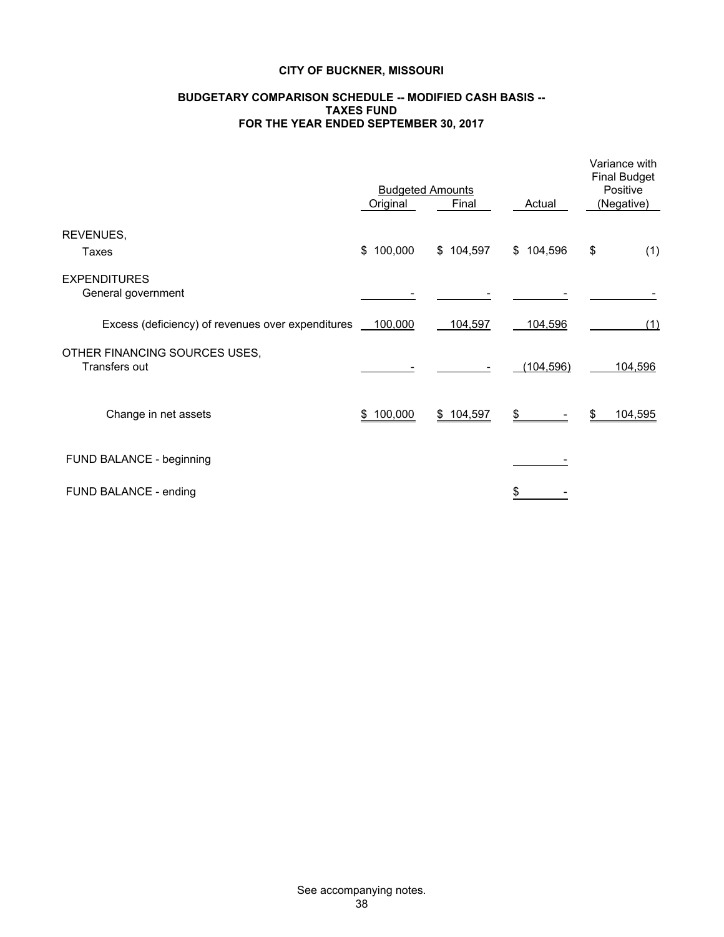#### **BUDGETARY COMPARISON SCHEDULE -- MODIFIED CASH BASIS -- TAXES FUND FOR THE YEAR ENDED SEPTEMBER 30, 2017**

|                                                              | <b>Budgeted Amounts</b> | Variance with<br><b>Final Budget</b><br>Positive |            |               |
|--------------------------------------------------------------|-------------------------|--------------------------------------------------|------------|---------------|
|                                                              | Original                | Final                                            | Actual     | (Negative)    |
| REVENUES,<br>Taxes                                           | \$100,000               | \$104,597                                        | \$104,596  | \$<br>(1)     |
| <b>EXPENDITURES</b><br>General government                    |                         |                                                  |            |               |
| Excess (deficiency) of revenues over expenditures __ 100,000 |                         | 104,597                                          | 104,596    | (1)           |
| OTHER FINANCING SOURCES USES,<br>Transfers out               |                         |                                                  | (104, 596) | 104,596       |
| Change in net assets                                         | \$100,000               | \$104,597                                        | \$         | 104,595<br>\$ |
| FUND BALANCE - beginning                                     |                         |                                                  |            |               |
| FUND BALANCE - ending                                        |                         |                                                  | \$         |               |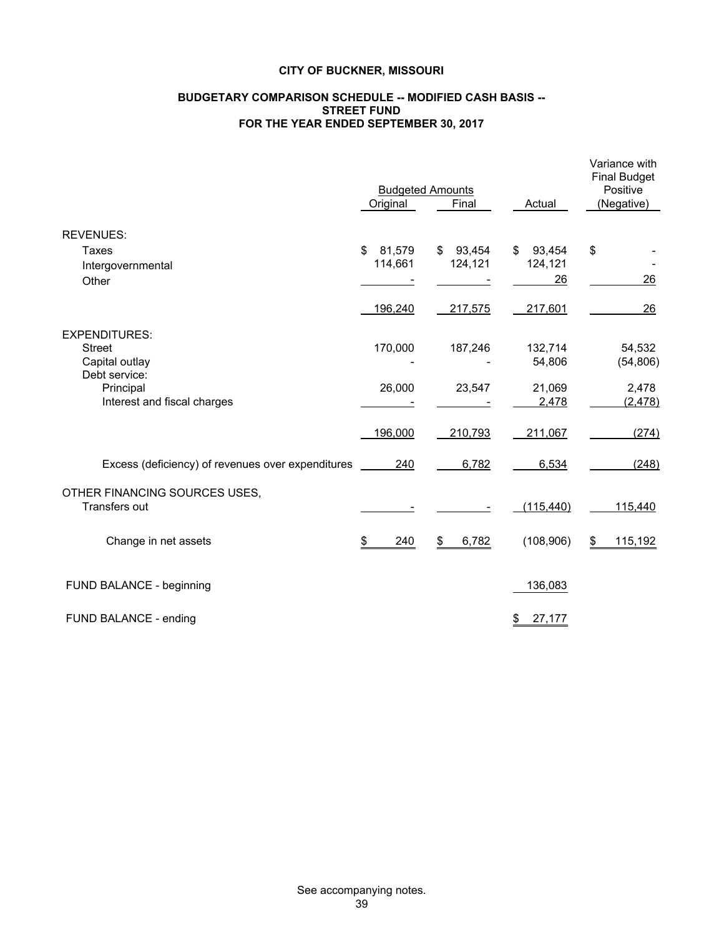#### **BUDGETARY COMPARISON SCHEDULE -- MODIFIED CASH BASIS -- STREET FUND FOR THE YEAR ENDED SEPTEMBER 30, 2017**

|                                                                                       | Original                | <b>Budgeted Amounts</b><br>Final | Actual                        | Variance with<br><b>Final Budget</b><br>Positive<br>(Negative) |
|---------------------------------------------------------------------------------------|-------------------------|----------------------------------|-------------------------------|----------------------------------------------------------------|
| <b>REVENUES:</b>                                                                      |                         |                                  |                               |                                                                |
| Taxes<br>Intergovernmental<br>Other                                                   | 81,579<br>\$<br>114,661 | 93,454<br>\$<br>124,121          | 93,454<br>\$<br>124,121<br>26 | \$<br>26                                                       |
|                                                                                       | 196,240                 | 217,575                          | 217,601                       | 26                                                             |
| <b>EXPENDITURES:</b><br><b>Street</b><br>Capital outlay<br>Debt service:<br>Principal | 170,000<br>26,000       | 187,246<br>23,547                | 132,714<br>54,806<br>21,069   | 54,532<br>(54, 806)<br>2,478                                   |
| Interest and fiscal charges                                                           |                         |                                  | 2,478                         | (2, 478)                                                       |
|                                                                                       | 196,000                 | 210,793                          | 211,067                       | (274)                                                          |
| Excess (deficiency) of revenues over expenditures                                     | 240                     | 6,782                            | 6,534                         | (248)                                                          |
| OTHER FINANCING SOURCES USES,<br>Transfers out                                        |                         |                                  | (115, 440)                    | 115,440                                                        |
| Change in net assets                                                                  | \$<br>240               | 6,782<br>\$                      | (108, 906)                    | \$<br>115,192                                                  |
| FUND BALANCE - beginning                                                              |                         |                                  | 136,083                       |                                                                |
| FUND BALANCE - ending                                                                 |                         |                                  | 27,177<br>\$                  |                                                                |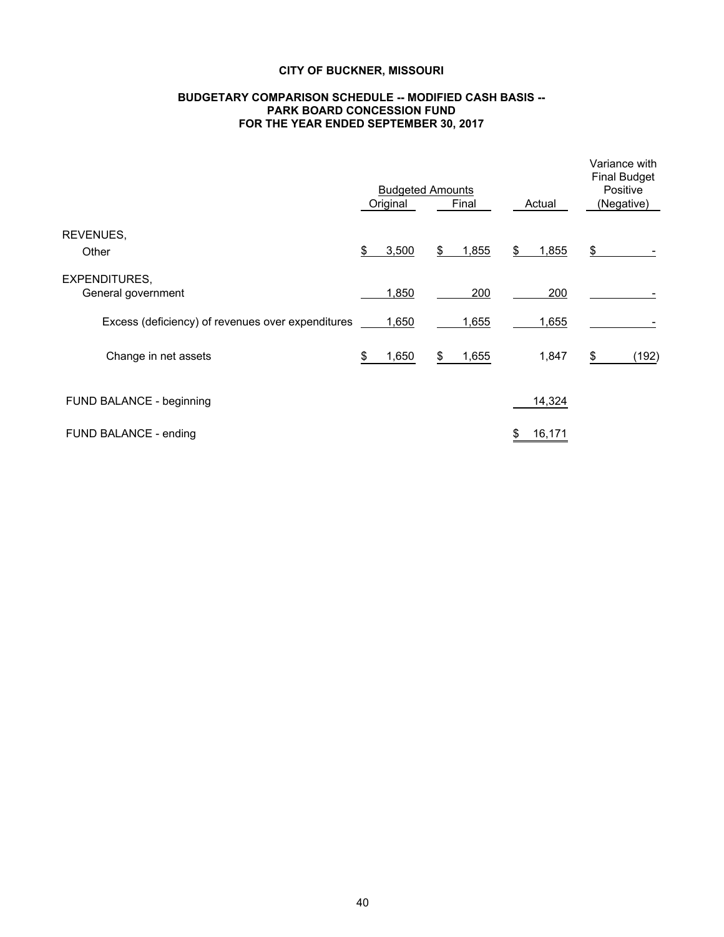#### **BUDGETARY COMPARISON SCHEDULE -- MODIFIED CASH BASIS -- PARK BOARD CONCESSION FUND FOR THE YEAR ENDED SEPTEMBER 30, 2017**

|                                                   | <b>Budgeted Amounts</b><br>Original |    | Final | Actual      | Variance with<br><b>Final Budget</b><br>Positive<br>(Negative) |       |
|---------------------------------------------------|-------------------------------------|----|-------|-------------|----------------------------------------------------------------|-------|
| REVENUES,<br>Other                                | \$<br>3,500                         | \$ | 1,855 | \$<br>1,855 | \$                                                             |       |
| <b>EXPENDITURES,</b><br>General government        | 1,850                               |    | 200   | 200         |                                                                |       |
| Excess (deficiency) of revenues over expenditures | 1,650                               |    | 1,655 | 1,655       |                                                                |       |
| Change in net assets                              | 1,650                               | S  | 1,655 | 1,847       | \$                                                             | (192) |
| FUND BALANCE - beginning                          |                                     |    |       | 14,324      |                                                                |       |
| FUND BALANCE - ending                             |                                     |    |       | 16,171      |                                                                |       |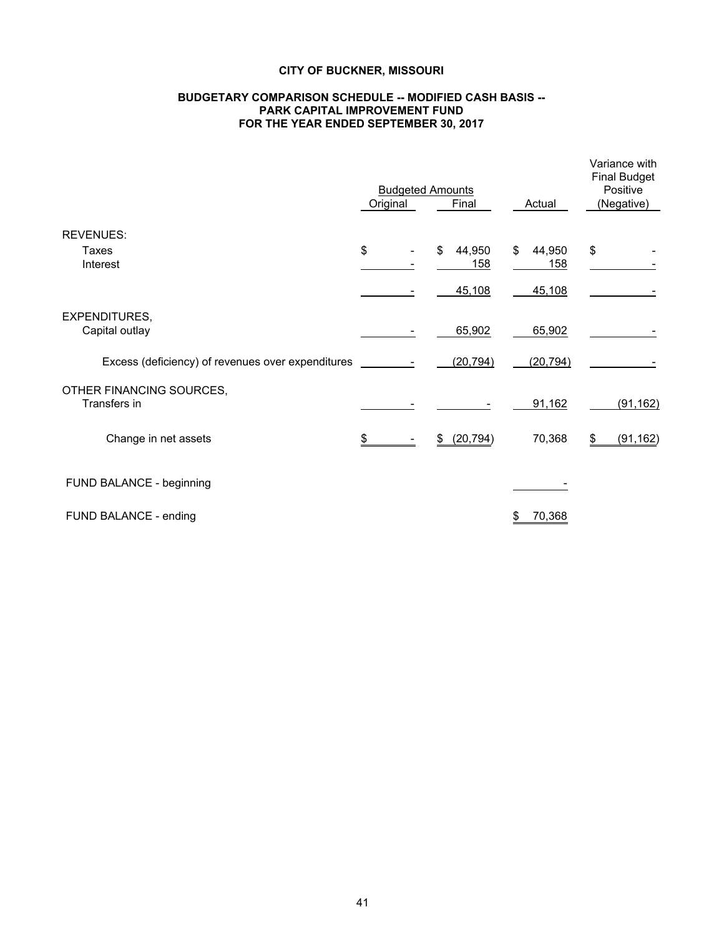#### **BUDGETARY COMPARISON SCHEDULE -- MODIFIED CASH BASIS -- PARK CAPITAL IMPROVEMENT FUND FOR THE YEAR ENDED SEPTEMBER 30, 2017**

|                                                   | <b>Budgeted Amounts</b> | Variance with<br><b>Final Budget</b><br>Positive |               |                 |
|---------------------------------------------------|-------------------------|--------------------------------------------------|---------------|-----------------|
|                                                   | Original                | Final                                            | Actual        | (Negative)      |
| <b>REVENUES:</b><br>Taxes                         | \$                      | 44,950<br>\$                                     | \$<br>44,950  | \$              |
| Interest                                          |                         | 158<br>45,108                                    | 158<br>45,108 |                 |
| <b>EXPENDITURES,</b><br>Capital outlay            |                         | 65,902                                           | 65,902        |                 |
| Excess (deficiency) of revenues over expenditures |                         | (20, 794)                                        | (20, 794)     |                 |
| OTHER FINANCING SOURCES,<br>Transfers in          |                         |                                                  | 91,162        | (91, 162)       |
| Change in net assets                              | \$                      | \$ (20,794)                                      | 70,368        | (91, 162)<br>\$ |
| FUND BALANCE - beginning                          |                         |                                                  |               |                 |
| FUND BALANCE - ending                             |                         |                                                  | 70,368<br>\$  |                 |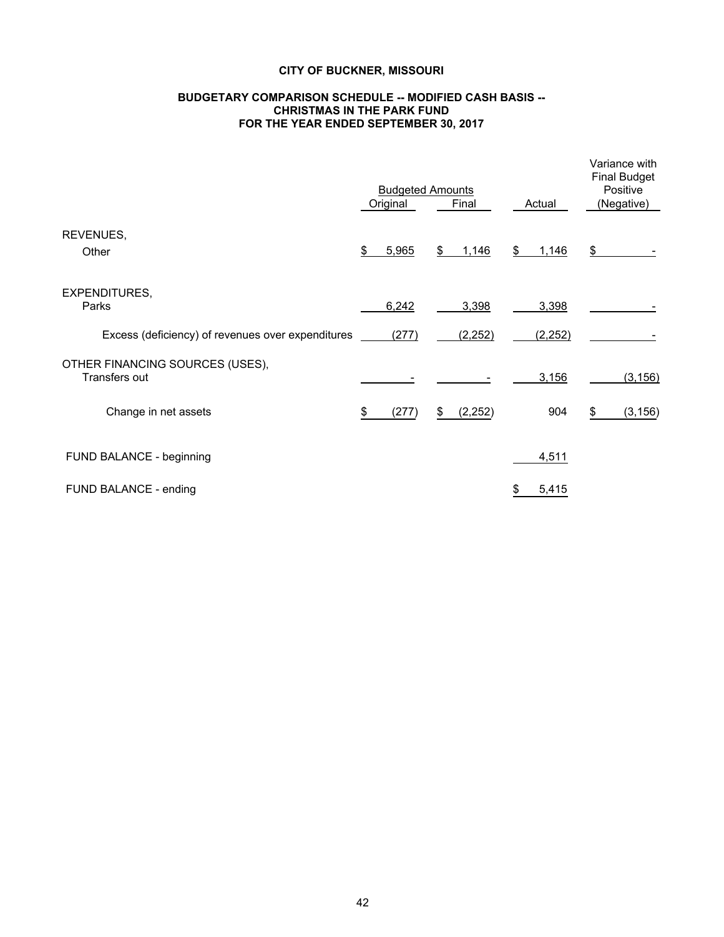#### **BUDGETARY COMPARISON SCHEDULE -- MODIFIED CASH BASIS -- CHRISTMAS IN THE PARK FUND FOR THE YEAR ENDED SEPTEMBER 30, 2017**

|                                                   | <b>Budgeted Amounts</b><br>Final<br>Original |       |    |          |    | Actual  | Variance with<br><b>Final Budget</b><br>Positive<br>(Negative) |          |  |
|---------------------------------------------------|----------------------------------------------|-------|----|----------|----|---------|----------------------------------------------------------------|----------|--|
| REVENUES,<br>Other                                | \$                                           | 5,965 | \$ | 1,146    | \$ | 1,146   | $\frac{1}{2}$                                                  |          |  |
| <b>EXPENDITURES,</b><br>Parks                     |                                              | 6,242 |    | 3,398    |    | 3,398   |                                                                |          |  |
| Excess (deficiency) of revenues over expenditures |                                              | (277) |    | (2, 252) |    | (2,252) |                                                                |          |  |
| OTHER FINANCING SOURCES (USES),<br>Transfers out  |                                              |       |    |          |    | 3,156   |                                                                | (3, 156) |  |
| Change in net assets                              | \$                                           | (277) | \$ | (2, 252) |    | 904     | \$                                                             | (3, 156) |  |
| FUND BALANCE - beginning                          |                                              |       |    |          |    | 4,511   |                                                                |          |  |
| FUND BALANCE - ending                             |                                              |       |    |          | \$ | 5,415   |                                                                |          |  |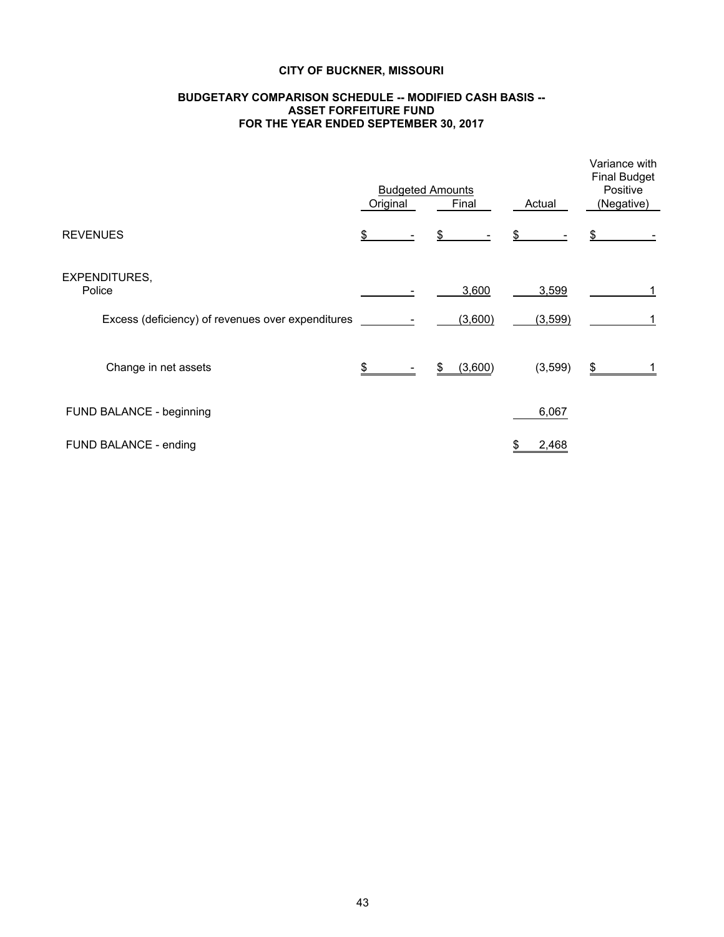#### **BUDGETARY COMPARISON SCHEDULE -- MODIFIED CASH BASIS -- ASSET FORFEITURE FUND FOR THE YEAR ENDED SEPTEMBER 30, 2017**

|                                                   | <b>Budgeted Amounts</b><br>Original<br>Final<br>Actual |  |    |         | Variance with<br><b>Final Budget</b><br>Positive<br>(Negative) |          |    |  |
|---------------------------------------------------|--------------------------------------------------------|--|----|---------|----------------------------------------------------------------|----------|----|--|
| <b>REVENUES</b>                                   | \$                                                     |  | \$ |         | \$                                                             |          | \$ |  |
| <b>EXPENDITURES,</b><br>Police                    |                                                        |  |    | 3,600   |                                                                | 3,599    |    |  |
| Excess (deficiency) of revenues over expenditures |                                                        |  |    | (3,600) |                                                                | (3,599)  |    |  |
| Change in net assets                              | \$                                                     |  | \$ | (3,600) |                                                                | (3, 599) | \$ |  |
| FUND BALANCE - beginning                          |                                                        |  |    |         |                                                                | 6,067    |    |  |
| FUND BALANCE - ending                             |                                                        |  |    |         | \$                                                             | 2,468    |    |  |